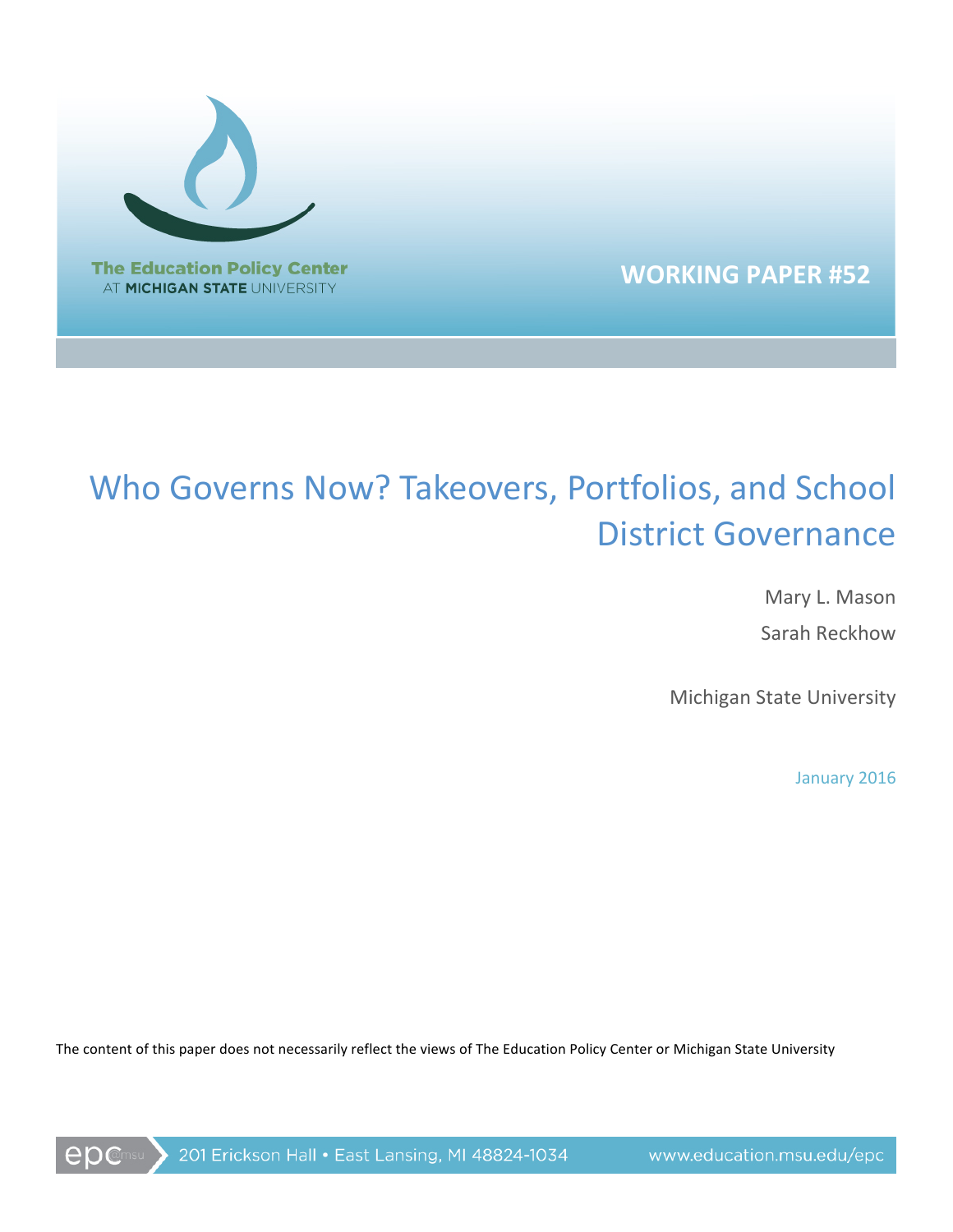

**WORKING PAPER #52**

# Who Governs Now? Takeovers, Portfolios, and School District Governance

Mary L. Mason Sarah Reckhow 

Michigan State University

January 2016

The content of this paper does not necessarily reflect the views of The Education Policy Center or Michigan State University

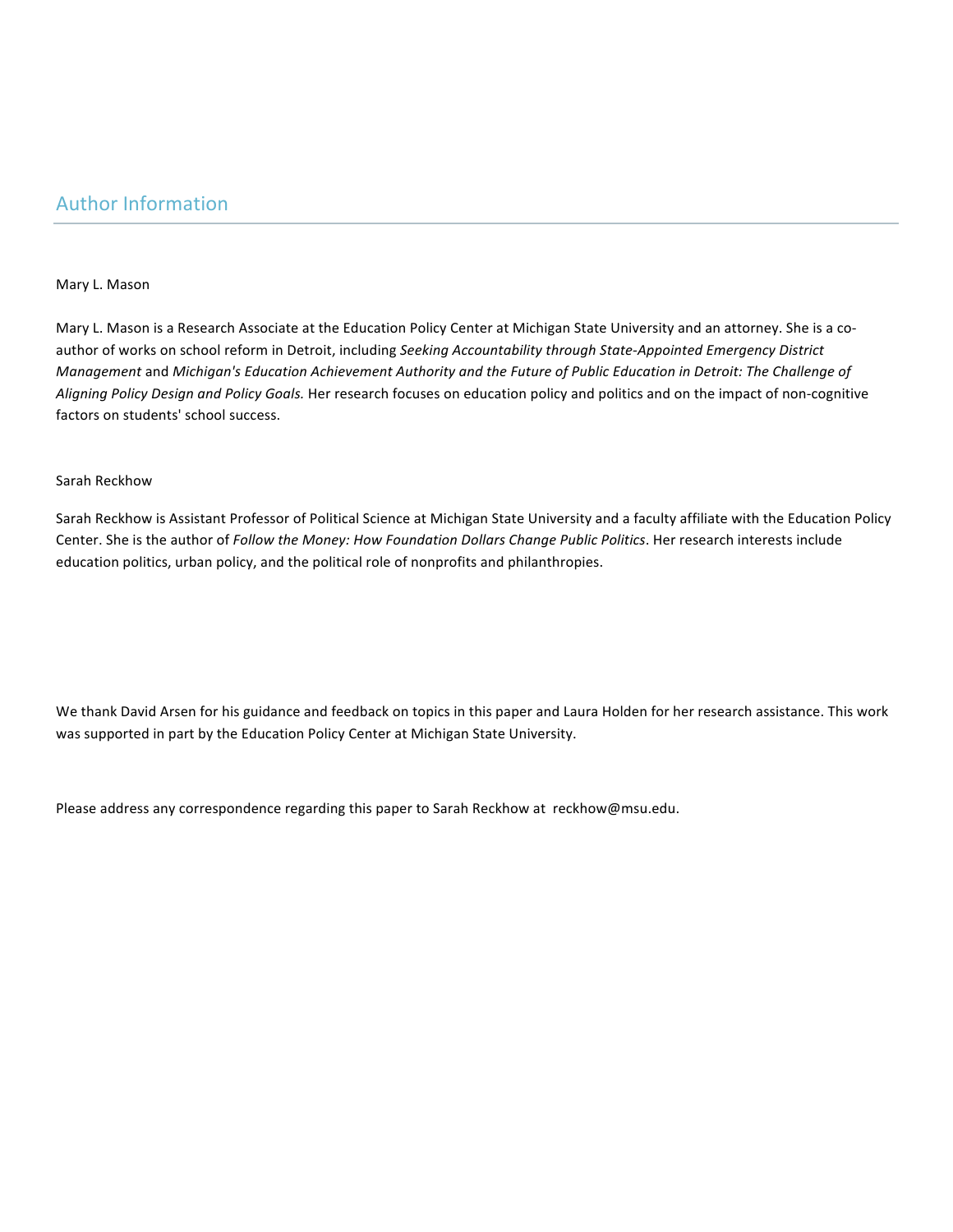# Mary L. Mason

Mary L. Mason is a Research Associate at the Education Policy Center at Michigan State University and an attorney. She is a coauthor of works on school reform in Detroit, including Seeking Accountability through State-Appointed Emergency District *Management* and *Michigan's Education Achievement Authority and the Future of Public Education in Detroit: The Challenge of* Aligning Policy Design and Policy Goals. Her research focuses on education policy and politics and on the impact of non-cognitive factors on students' school success.

# Sarah Reckhow

Sarah Reckhow is Assistant Professor of Political Science at Michigan State University and a faculty affiliate with the Education Policy Center. She is the author of *Follow the Money: How Foundation Dollars Change Public Politics*. Her research interests include education politics, urban policy, and the political role of nonprofits and philanthropies.

We thank David Arsen for his guidance and feedback on topics in this paper and Laura Holden for her research assistance. This work was supported in part by the Education Policy Center at Michigan State University.

Please address any correspondence regarding this paper to Sarah Reckhow at reckhow@msu.edu.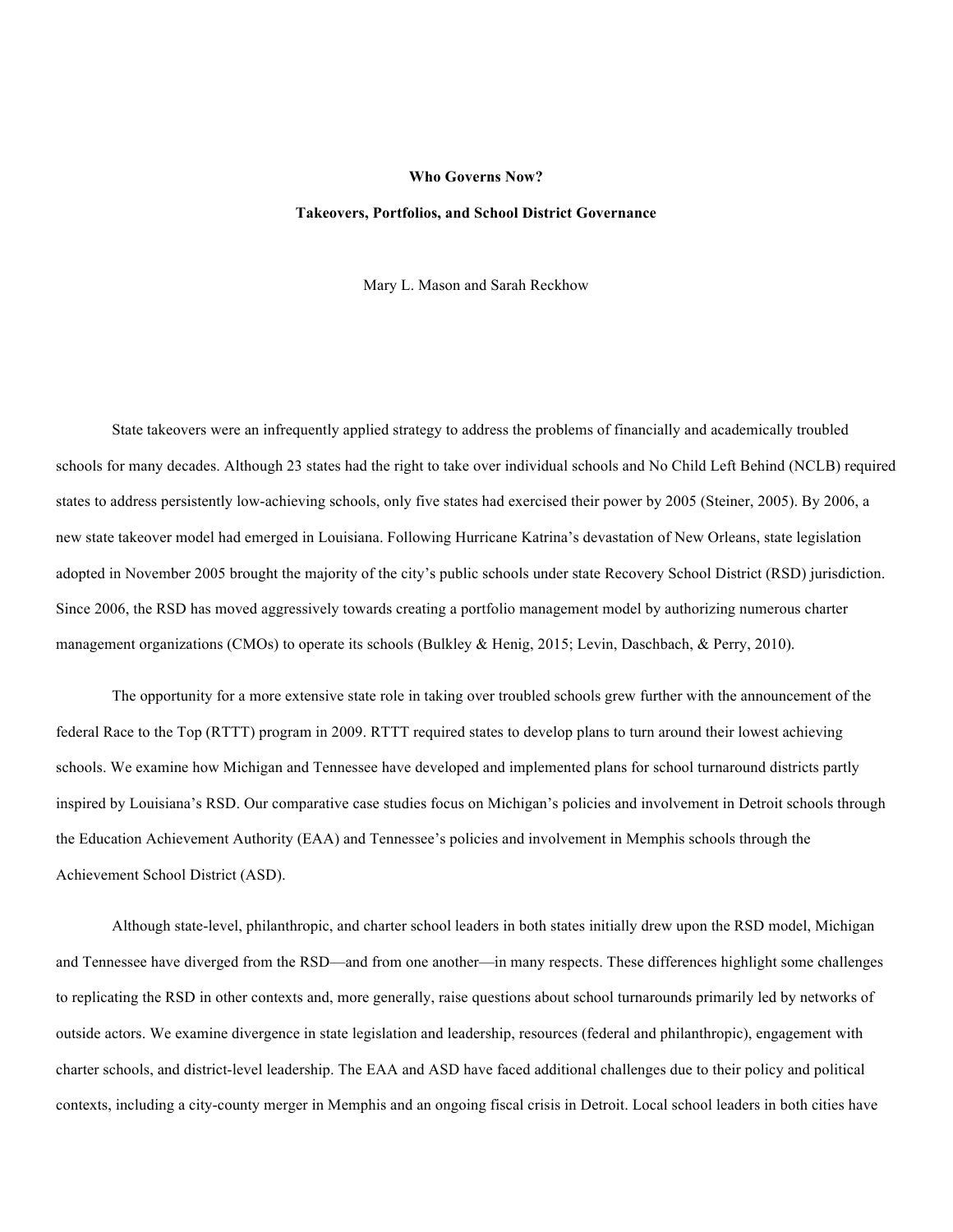#### **Who Governs Now?**

# **Takeovers, Portfolios, and School District Governance**

Mary L. Mason and Sarah Reckhow

State takeovers were an infrequently applied strategy to address the problems of financially and academically troubled schools for many decades. Although 23 states had the right to take over individual schools and No Child Left Behind (NCLB) required states to address persistently low-achieving schools, only five states had exercised their power by 2005 (Steiner, 2005). By 2006, a new state takeover model had emerged in Louisiana. Following Hurricane Katrina's devastation of New Orleans, state legislation adopted in November 2005 brought the majority of the city's public schools under state Recovery School District (RSD) jurisdiction. Since 2006, the RSD has moved aggressively towards creating a portfolio management model by authorizing numerous charter management organizations (CMOs) to operate its schools (Bulkley & Henig, 2015; Levin, Daschbach, & Perry, 2010).

The opportunity for a more extensive state role in taking over troubled schools grew further with the announcement of the federal Race to the Top (RTTT) program in 2009. RTTT required states to develop plans to turn around their lowest achieving schools. We examine how Michigan and Tennessee have developed and implemented plans for school turnaround districts partly inspired by Louisiana's RSD. Our comparative case studies focus on Michigan's policies and involvement in Detroit schools through the Education Achievement Authority (EAA) and Tennessee's policies and involvement in Memphis schools through the Achievement School District (ASD).

Although state-level, philanthropic, and charter school leaders in both states initially drew upon the RSD model, Michigan and Tennessee have diverged from the RSD—and from one another—in many respects. These differences highlight some challenges to replicating the RSD in other contexts and, more generally, raise questions about school turnarounds primarily led by networks of outside actors. We examine divergence in state legislation and leadership, resources (federal and philanthropic), engagement with charter schools, and district-level leadership. The EAA and ASD have faced additional challenges due to their policy and political contexts, including a city-county merger in Memphis and an ongoing fiscal crisis in Detroit. Local school leaders in both cities have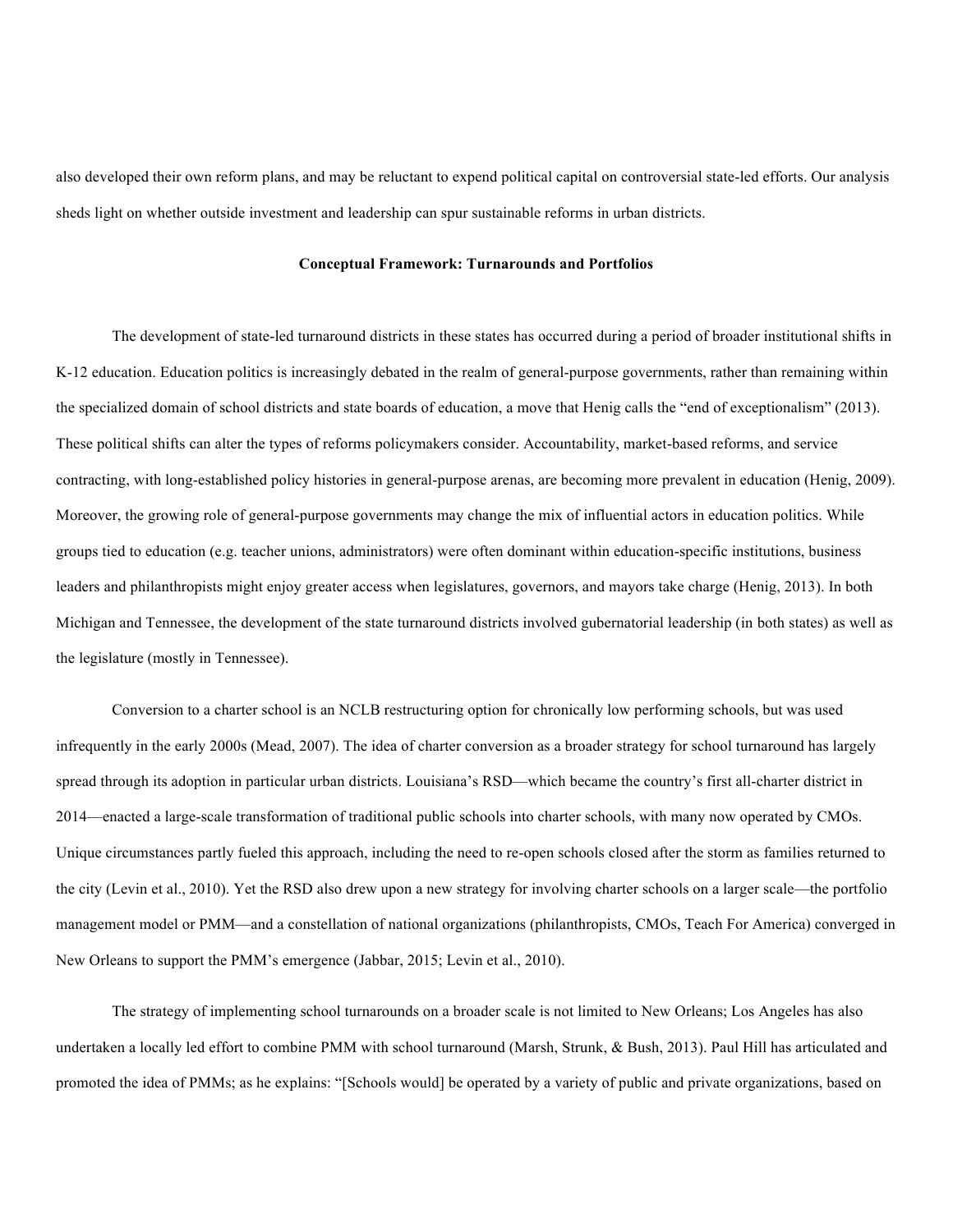also developed their own reform plans, and may be reluctant to expend political capital on controversial state-led efforts. Our analysis sheds light on whether outside investment and leadership can spur sustainable reforms in urban districts.

# **Conceptual Framework: Turnarounds and Portfolios**

The development of state-led turnaround districts in these states has occurred during a period of broader institutional shifts in K-12 education. Education politics is increasingly debated in the realm of general-purpose governments, rather than remaining within the specialized domain of school districts and state boards of education, a move that Henig calls the "end of exceptionalism" (2013). These political shifts can alter the types of reforms policymakers consider. Accountability, market-based reforms, and service contracting, with long-established policy histories in general-purpose arenas, are becoming more prevalent in education (Henig, 2009). Moreover, the growing role of general-purpose governments may change the mix of influential actors in education politics. While groups tied to education (e.g. teacher unions, administrators) were often dominant within education-specific institutions, business leaders and philanthropists might enjoy greater access when legislatures, governors, and mayors take charge (Henig, 2013). In both Michigan and Tennessee, the development of the state turnaround districts involved gubernatorial leadership (in both states) as well as the legislature (mostly in Tennessee).

Conversion to a charter school is an NCLB restructuring option for chronically low performing schools, but was used infrequently in the early 2000s (Mead, 2007). The idea of charter conversion as a broader strategy for school turnaround has largely spread through its adoption in particular urban districts. Louisiana's RSD—which became the country's first all-charter district in 2014—enacted a large-scale transformation of traditional public schools into charter schools, with many now operated by CMOs. Unique circumstances partly fueled this approach, including the need to re-open schools closed after the storm as families returned to the city (Levin et al., 2010). Yet the RSD also drew upon a new strategy for involving charter schools on a larger scale—the portfolio management model or PMM—and a constellation of national organizations (philanthropists, CMOs, Teach For America) converged in New Orleans to support the PMM's emergence (Jabbar, 2015; Levin et al., 2010).

The strategy of implementing school turnarounds on a broader scale is not limited to New Orleans; Los Angeles has also undertaken a locally led effort to combine PMM with school turnaround (Marsh, Strunk, & Bush, 2013). Paul Hill has articulated and promoted the idea of PMMs; as he explains: "[Schools would] be operated by a variety of public and private organizations, based on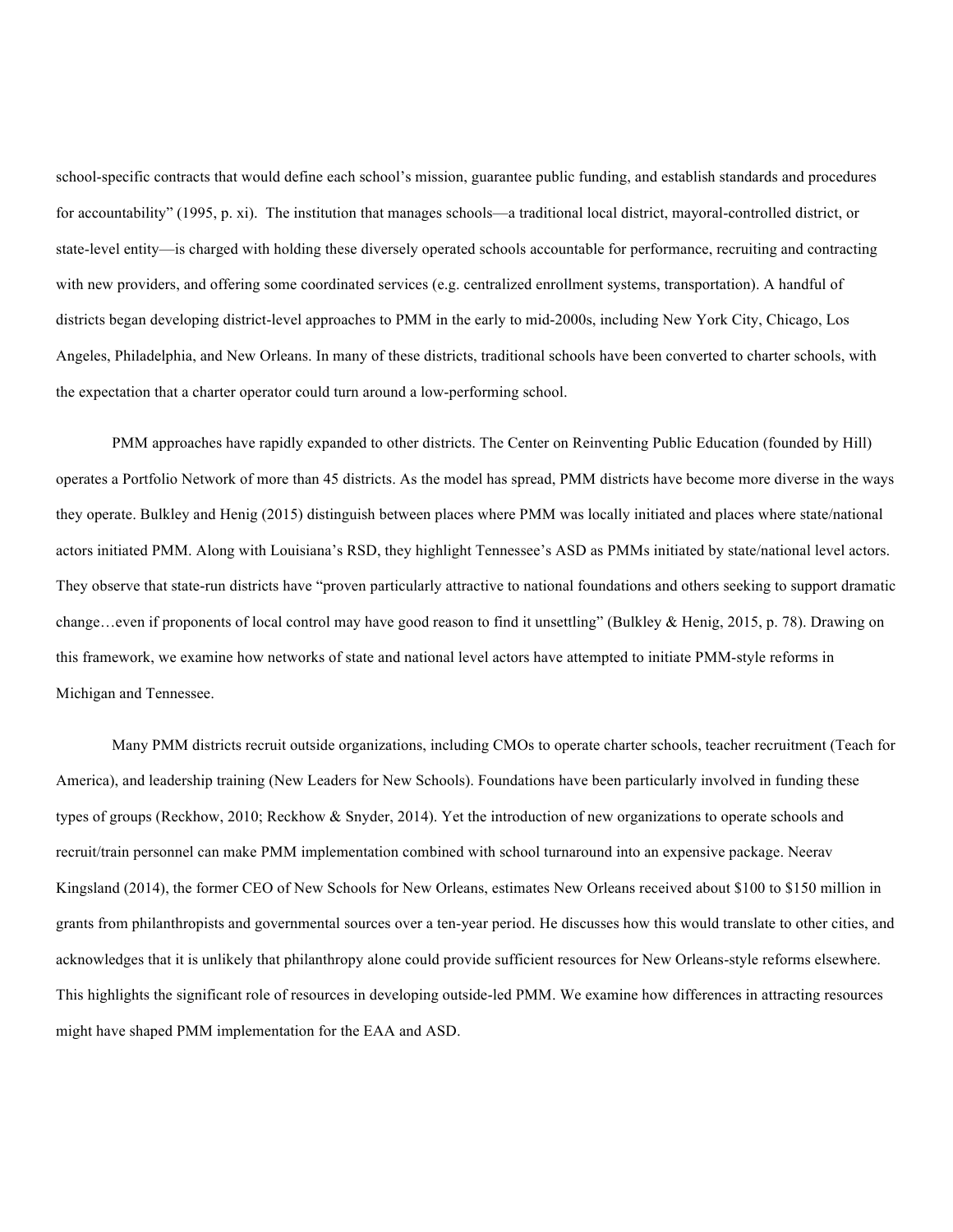school-specific contracts that would define each school's mission, guarantee public funding, and establish standards and procedures for accountability" (1995, p. xi). The institution that manages schools—a traditional local district, mayoral-controlled district, or state-level entity—is charged with holding these diversely operated schools accountable for performance, recruiting and contracting with new providers, and offering some coordinated services (e.g. centralized enrollment systems, transportation). A handful of districts began developing district-level approaches to PMM in the early to mid-2000s, including New York City, Chicago, Los Angeles, Philadelphia, and New Orleans. In many of these districts, traditional schools have been converted to charter schools, with the expectation that a charter operator could turn around a low-performing school.

PMM approaches have rapidly expanded to other districts. The Center on Reinventing Public Education (founded by Hill) operates a Portfolio Network of more than 45 districts. As the model has spread, PMM districts have become more diverse in the ways they operate. Bulkley and Henig (2015) distinguish between places where PMM was locally initiated and places where state/national actors initiated PMM. Along with Louisiana's RSD, they highlight Tennessee's ASD as PMMs initiated by state/national level actors. They observe that state-run districts have "proven particularly attractive to national foundations and others seeking to support dramatic change…even if proponents of local control may have good reason to find it unsettling" (Bulkley & Henig, 2015, p. 78). Drawing on this framework, we examine how networks of state and national level actors have attempted to initiate PMM-style reforms in Michigan and Tennessee.

Many PMM districts recruit outside organizations, including CMOs to operate charter schools, teacher recruitment (Teach for America), and leadership training (New Leaders for New Schools). Foundations have been particularly involved in funding these types of groups (Reckhow, 2010; Reckhow & Snyder, 2014). Yet the introduction of new organizations to operate schools and recruit/train personnel can make PMM implementation combined with school turnaround into an expensive package. Neerav Kingsland (2014), the former CEO of New Schools for New Orleans, estimates New Orleans received about \$100 to \$150 million in grants from philanthropists and governmental sources over a ten-year period. He discusses how this would translate to other cities, and acknowledges that it is unlikely that philanthropy alone could provide sufficient resources for New Orleans-style reforms elsewhere. This highlights the significant role of resources in developing outside-led PMM. We examine how differences in attracting resources might have shaped PMM implementation for the EAA and ASD.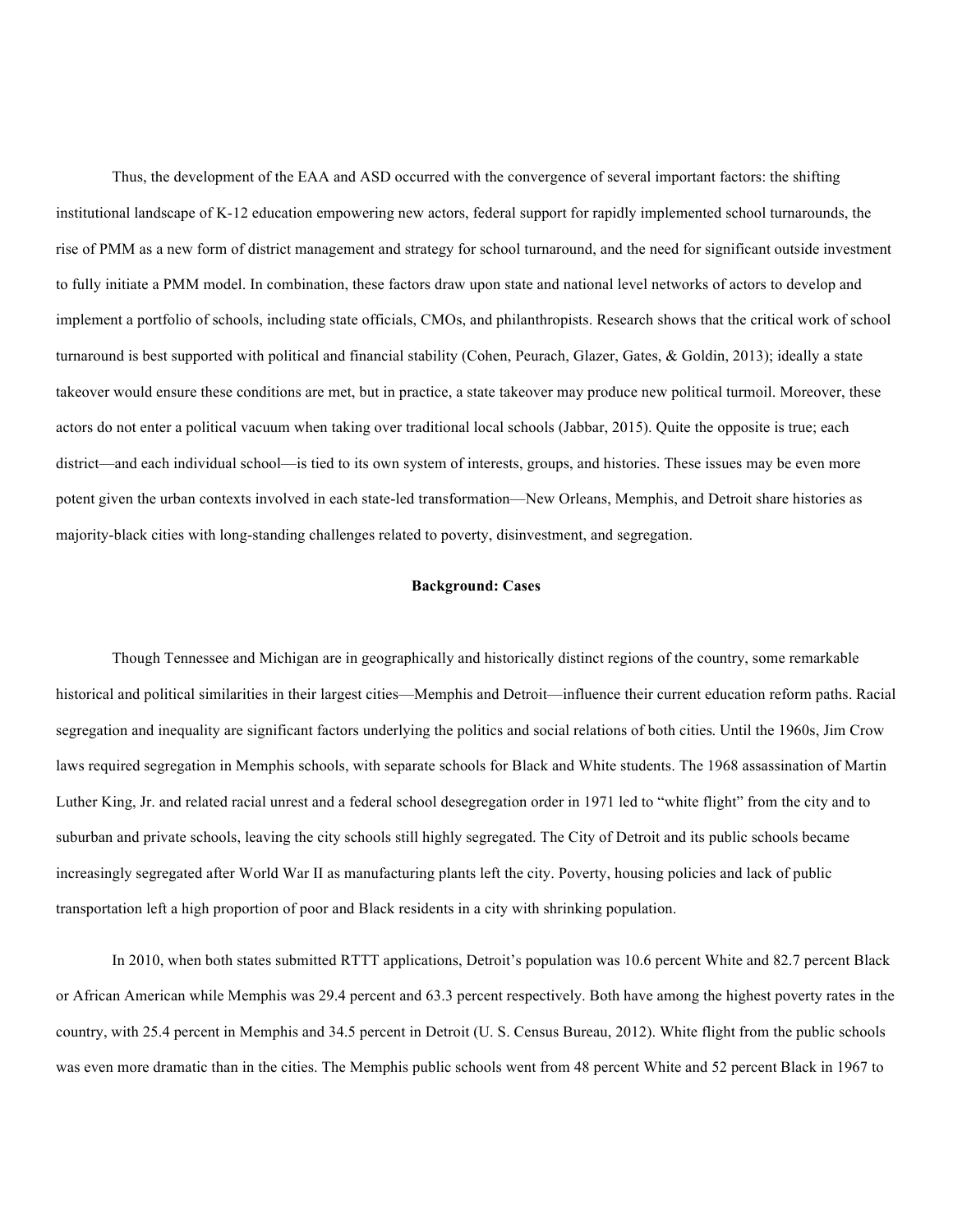Thus, the development of the EAA and ASD occurred with the convergence of several important factors: the shifting institutional landscape of K-12 education empowering new actors, federal support for rapidly implemented school turnarounds, the rise of PMM as a new form of district management and strategy for school turnaround, and the need for significant outside investment to fully initiate a PMM model. In combination, these factors draw upon state and national level networks of actors to develop and implement a portfolio of schools, including state officials, CMOs, and philanthropists. Research shows that the critical work of school turnaround is best supported with political and financial stability (Cohen, Peurach, Glazer, Gates, & Goldin, 2013); ideally a state takeover would ensure these conditions are met, but in practice, a state takeover may produce new political turmoil. Moreover, these actors do not enter a political vacuum when taking over traditional local schools (Jabbar, 2015). Quite the opposite is true; each district—and each individual school—is tied to its own system of interests, groups, and histories. These issues may be even more potent given the urban contexts involved in each state-led transformation—New Orleans, Memphis, and Detroit share histories as majority-black cities with long-standing challenges related to poverty, disinvestment, and segregation.

# **Background: Cases**

Though Tennessee and Michigan are in geographically and historically distinct regions of the country, some remarkable historical and political similarities in their largest cities—Memphis and Detroit—influence their current education reform paths. Racial segregation and inequality are significant factors underlying the politics and social relations of both cities. Until the 1960s, Jim Crow laws required segregation in Memphis schools, with separate schools for Black and White students. The 1968 assassination of Martin Luther King, Jr. and related racial unrest and a federal school desegregation order in 1971 led to "white flight" from the city and to suburban and private schools, leaving the city schools still highly segregated. The City of Detroit and its public schools became increasingly segregated after World War II as manufacturing plants left the city. Poverty, housing policies and lack of public transportation left a high proportion of poor and Black residents in a city with shrinking population.

In 2010, when both states submitted RTTT applications, Detroit's population was 10.6 percent White and 82.7 percent Black or African American while Memphis was 29.4 percent and 63.3 percent respectively. Both have among the highest poverty rates in the country, with 25.4 percent in Memphis and 34.5 percent in Detroit (U. S. Census Bureau, 2012). White flight from the public schools was even more dramatic than in the cities. The Memphis public schools went from 48 percent White and 52 percent Black in 1967 to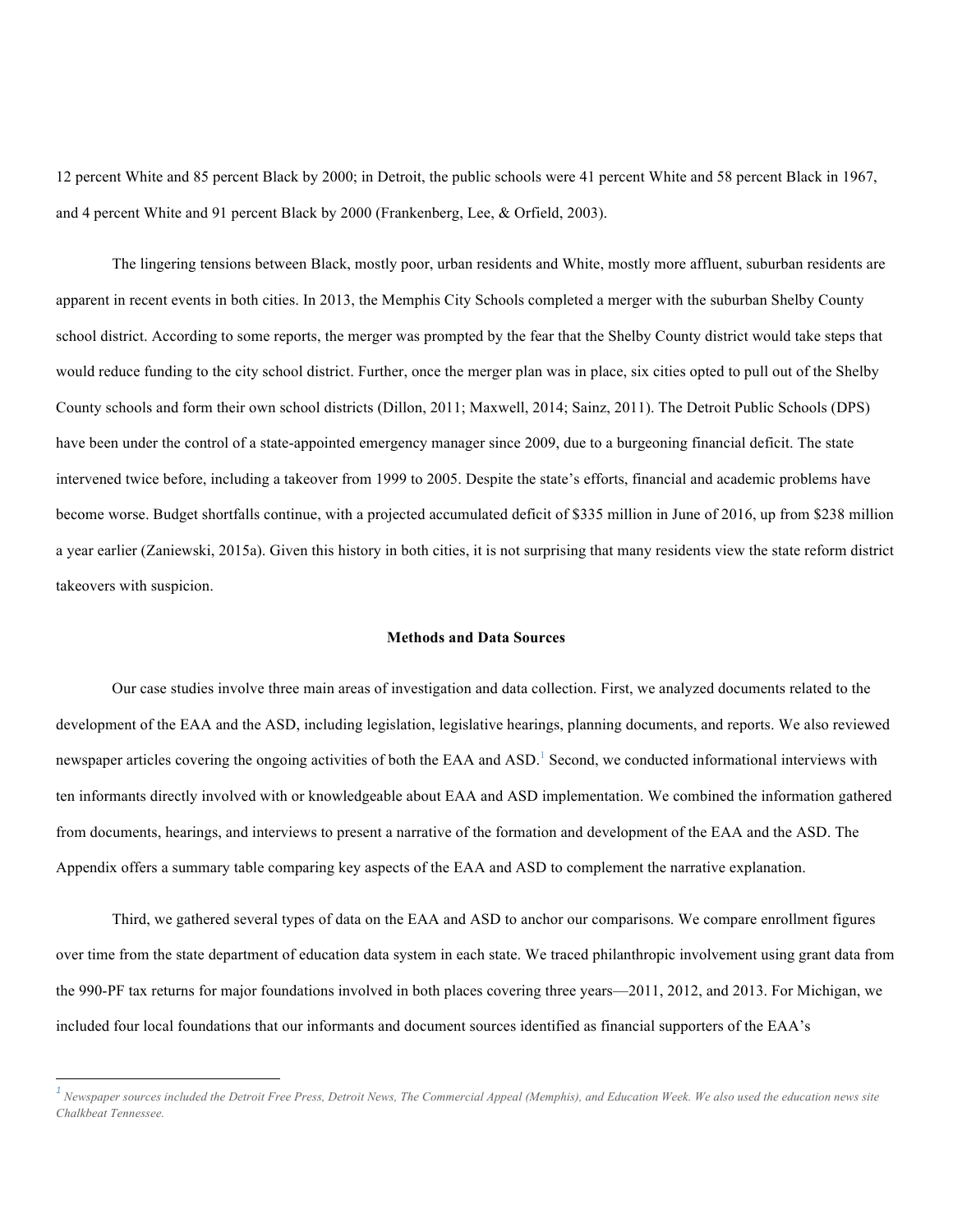12 percent White and 85 percent Black by 2000; in Detroit, the public schools were 41 percent White and 58 percent Black in 1967, and 4 percent White and 91 percent Black by 2000 (Frankenberg, Lee, & Orfield, 2003).

The lingering tensions between Black, mostly poor, urban residents and White, mostly more affluent, suburban residents are apparent in recent events in both cities. In 2013, the Memphis City Schools completed a merger with the suburban Shelby County school district. According to some reports, the merger was prompted by the fear that the Shelby County district would take steps that would reduce funding to the city school district. Further, once the merger plan was in place, six cities opted to pull out of the Shelby County schools and form their own school districts (Dillon, 2011; Maxwell, 2014; Sainz, 2011). The Detroit Public Schools (DPS) have been under the control of a state-appointed emergency manager since 2009, due to a burgeoning financial deficit. The state intervened twice before, including a takeover from 1999 to 2005. Despite the state's efforts, financial and academic problems have become worse. Budget shortfalls continue, with a projected accumulated deficit of \$335 million in June of 2016, up from \$238 million a year earlier (Zaniewski, 2015a). Given this history in both cities, it is not surprising that many residents view the state reform district takeovers with suspicion.

# **Methods and Data Sources**

Our case studies involve three main areas of investigation and data collection. First, we analyzed documents related to the development of the EAA and the ASD, including legislation, legislative hearings, planning documents, and reports. We also reviewed newspaper articles covering the ongoing activities of both the EAA and ASD.<sup>1</sup> Second, we conducted informational interviews with ten informants directly involved with or knowledgeable about EAA and ASD implementation. We combined the information gathered from documents, hearings, and interviews to present a narrative of the formation and development of the EAA and the ASD. The Appendix offers a summary table comparing key aspects of the EAA and ASD to complement the narrative explanation.

Third, we gathered several types of data on the EAA and ASD to anchor our comparisons. We compare enrollment figures over time from the state department of education data system in each state. We traced philanthropic involvement using grant data from the 990-PF tax returns for major foundations involved in both places covering three years—2011, 2012, and 2013. For Michigan, we included four local foundations that our informants and document sources identified as financial supporters of the EAA's

 *<sup>1</sup> Newspaper sources included the Detroit Free Press, Detroit News, The Commercial Appeal (Memphis), and Education Week. We also used the education news site Chalkbeat Tennessee.*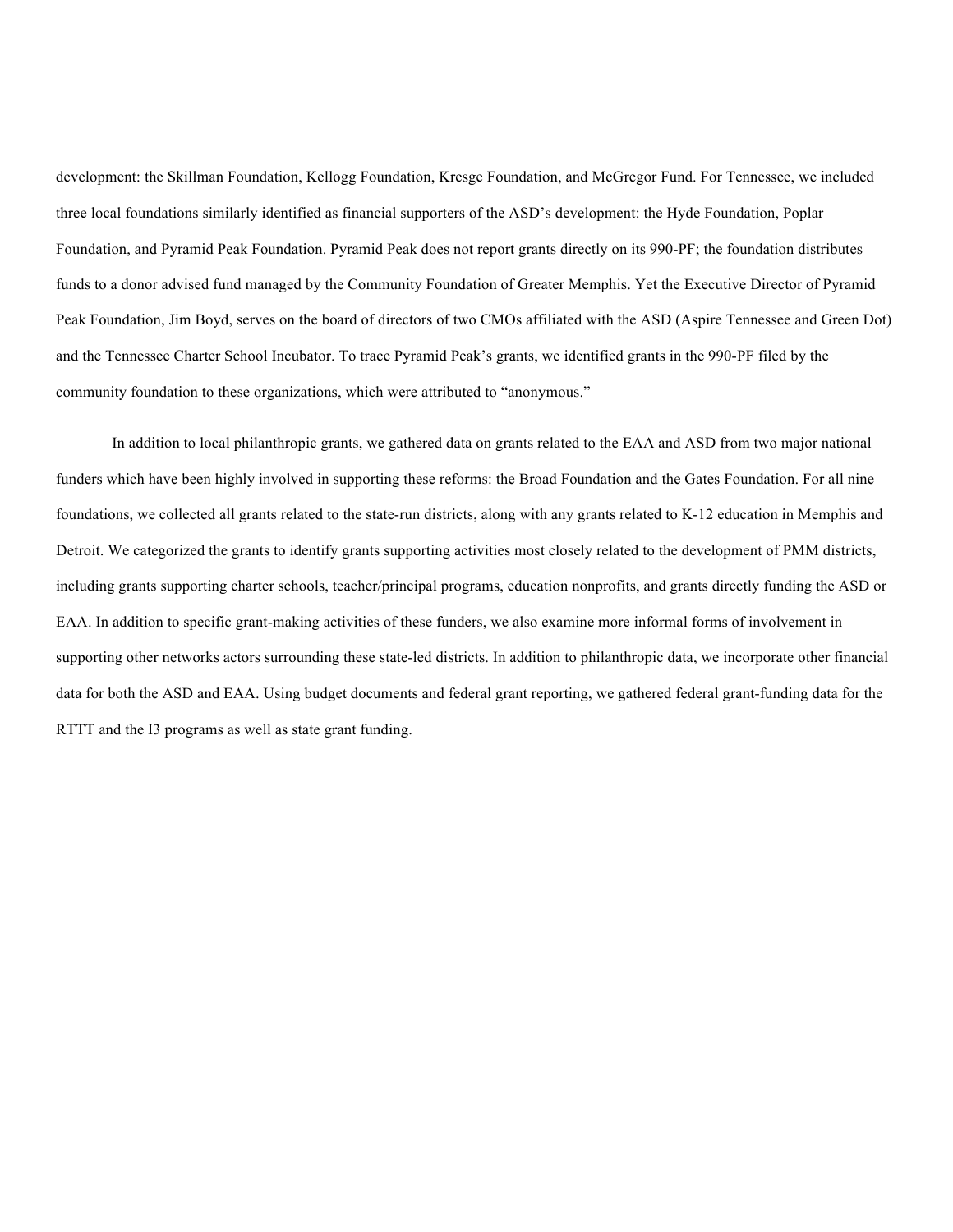development: the Skillman Foundation, Kellogg Foundation, Kresge Foundation, and McGregor Fund. For Tennessee, we included three local foundations similarly identified as financial supporters of the ASD's development: the Hyde Foundation, Poplar Foundation, and Pyramid Peak Foundation. Pyramid Peak does not report grants directly on its 990-PF; the foundation distributes funds to a donor advised fund managed by the Community Foundation of Greater Memphis. Yet the Executive Director of Pyramid Peak Foundation, Jim Boyd, serves on the board of directors of two CMOs affiliated with the ASD (Aspire Tennessee and Green Dot) and the Tennessee Charter School Incubator. To trace Pyramid Peak's grants, we identified grants in the 990-PF filed by the community foundation to these organizations, which were attributed to "anonymous."

In addition to local philanthropic grants, we gathered data on grants related to the EAA and ASD from two major national funders which have been highly involved in supporting these reforms: the Broad Foundation and the Gates Foundation. For all nine foundations, we collected all grants related to the state-run districts, along with any grants related to K-12 education in Memphis and Detroit. We categorized the grants to identify grants supporting activities most closely related to the development of PMM districts, including grants supporting charter schools, teacher/principal programs, education nonprofits, and grants directly funding the ASD or EAA. In addition to specific grant-making activities of these funders, we also examine more informal forms of involvement in supporting other networks actors surrounding these state-led districts. In addition to philanthropic data, we incorporate other financial data for both the ASD and EAA. Using budget documents and federal grant reporting, we gathered federal grant-funding data for the RTTT and the I3 programs as well as state grant funding.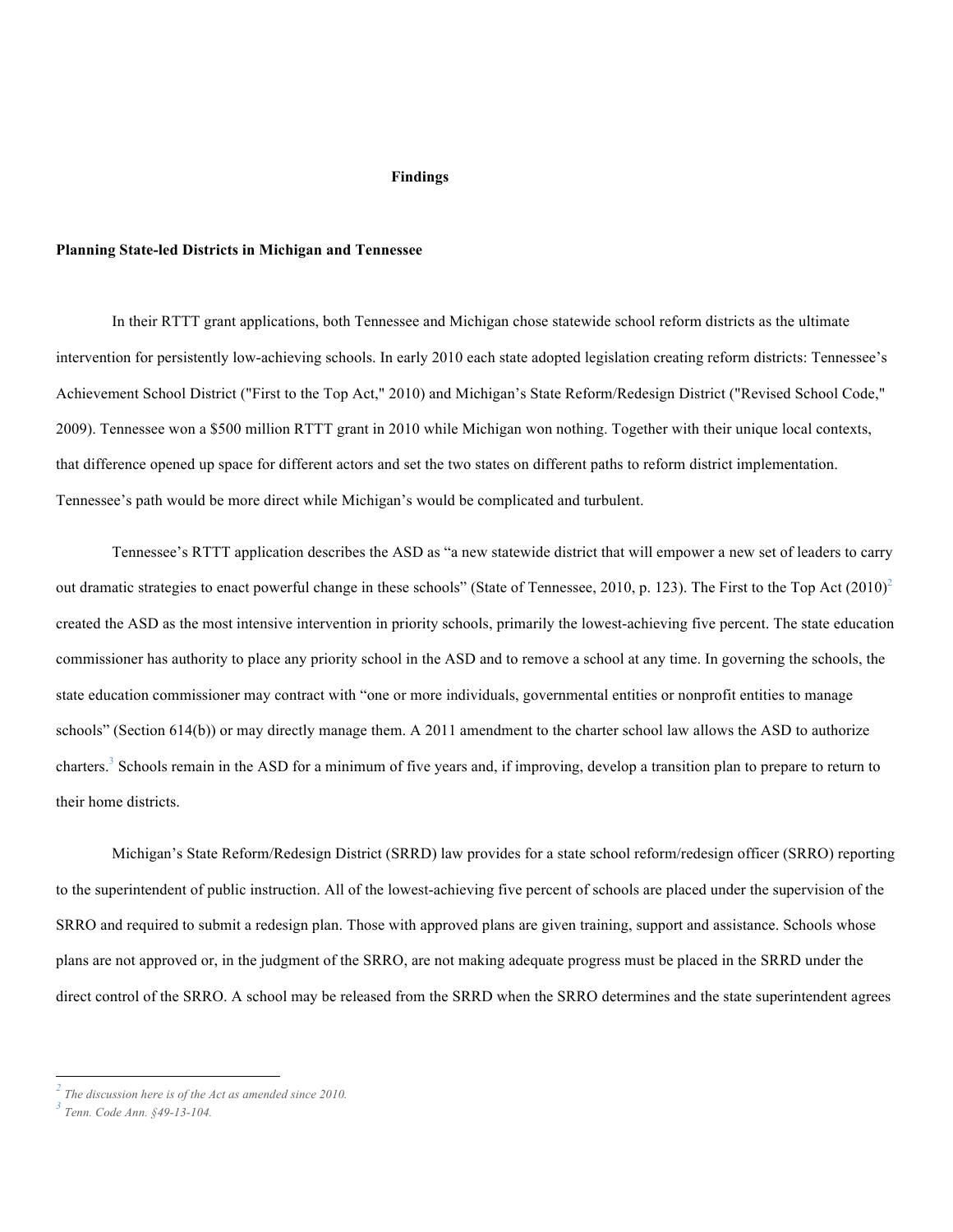#### **Findings**

## **Planning State-led Districts in Michigan and Tennessee**

In their RTTT grant applications, both Tennessee and Michigan chose statewide school reform districts as the ultimate intervention for persistently low-achieving schools. In early 2010 each state adopted legislation creating reform districts: Tennessee's Achievement School District ("First to the Top Act," 2010) and Michigan's State Reform/Redesign District ("Revised School Code," 2009). Tennessee won a \$500 million RTTT grant in 2010 while Michigan won nothing. Together with their unique local contexts, that difference opened up space for different actors and set the two states on different paths to reform district implementation. Tennessee's path would be more direct while Michigan's would be complicated and turbulent.

Tennessee's RTTT application describes the ASD as "a new statewide district that will empower a new set of leaders to carry out dramatic strategies to enact powerful change in these schools" (State of Tennessee, 2010, p. 123). The First to the Top Act  $(2010)^2$ created the ASD as the most intensive intervention in priority schools, primarily the lowest-achieving five percent. The state education commissioner has authority to place any priority school in the ASD and to remove a school at any time. In governing the schools, the state education commissioner may contract with "one or more individuals, governmental entities or nonprofit entities to manage schools" (Section 614(b)) or may directly manage them. A 2011 amendment to the charter school law allows the ASD to authorize charters.<sup>3</sup> Schools remain in the ASD for a minimum of five years and, if improving, develop a transition plan to prepare to return to their home districts.

Michigan's State Reform/Redesign District (SRRD) law provides for a state school reform/redesign officer (SRRO) reporting to the superintendent of public instruction. All of the lowest-achieving five percent of schools are placed under the supervision of the SRRO and required to submit a redesign plan. Those with approved plans are given training, support and assistance. Schools whose plans are not approved or, in the judgment of the SRRO, are not making adequate progress must be placed in the SRRD under the direct control of the SRRO. A school may be released from the SRRD when the SRRO determines and the state superintendent agrees

 

*<sup>2</sup> The discussion here is of the Act as amended since 2010.*

*<sup>3</sup> Tenn. Code Ann. §49-13-104.*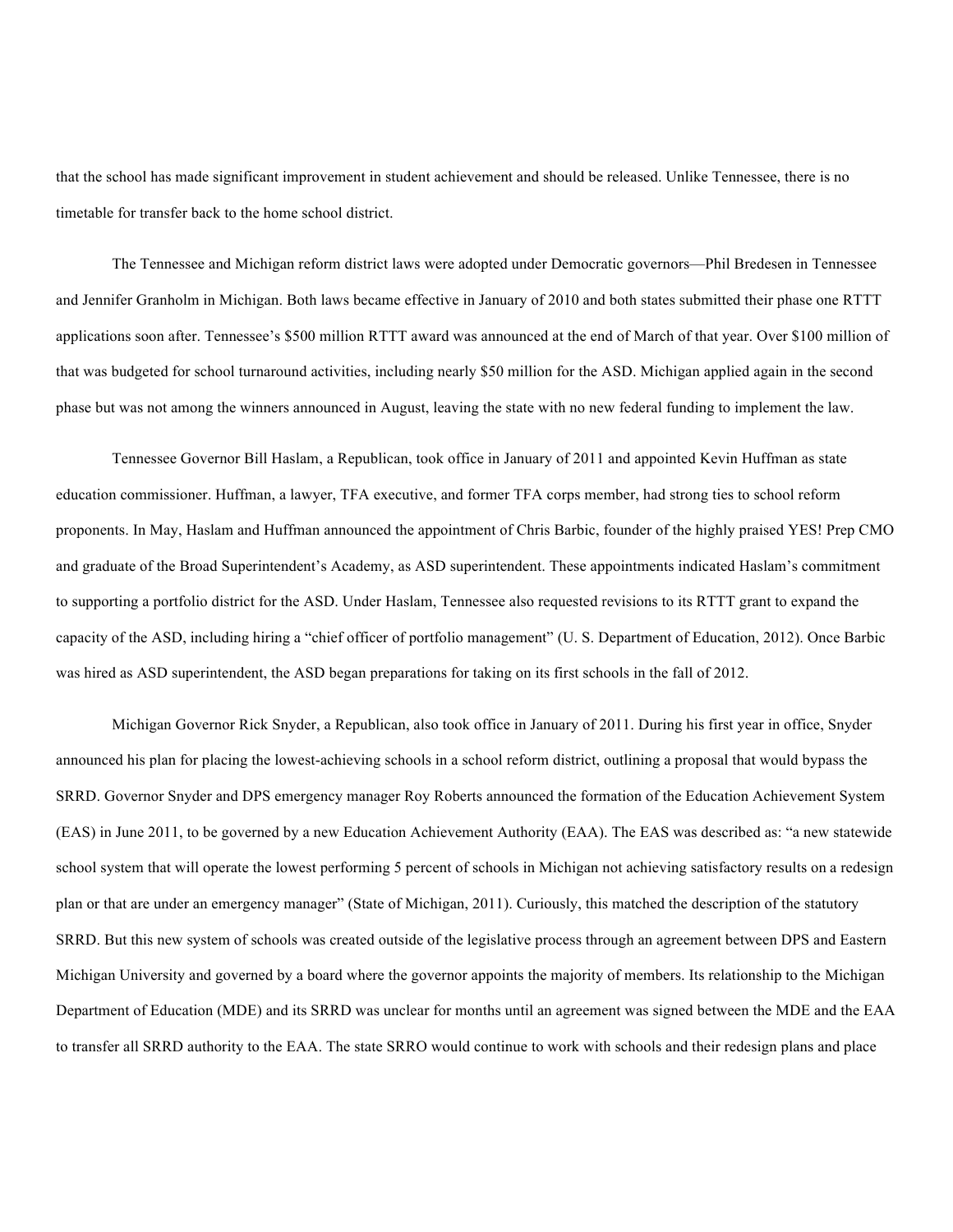that the school has made significant improvement in student achievement and should be released. Unlike Tennessee, there is no timetable for transfer back to the home school district.

The Tennessee and Michigan reform district laws were adopted under Democratic governors—Phil Bredesen in Tennessee and Jennifer Granholm in Michigan. Both laws became effective in January of 2010 and both states submitted their phase one RTTT applications soon after. Tennessee's \$500 million RTTT award was announced at the end of March of that year. Over \$100 million of that was budgeted for school turnaround activities, including nearly \$50 million for the ASD. Michigan applied again in the second phase but was not among the winners announced in August, leaving the state with no new federal funding to implement the law.

Tennessee Governor Bill Haslam, a Republican, took office in January of 2011 and appointed Kevin Huffman as state education commissioner. Huffman, a lawyer, TFA executive, and former TFA corps member, had strong ties to school reform proponents. In May, Haslam and Huffman announced the appointment of Chris Barbic, founder of the highly praised YES! Prep CMO and graduate of the Broad Superintendent's Academy, as ASD superintendent. These appointments indicated Haslam's commitment to supporting a portfolio district for the ASD. Under Haslam, Tennessee also requested revisions to its RTTT grant to expand the capacity of the ASD, including hiring a "chief officer of portfolio management" (U. S. Department of Education, 2012). Once Barbic was hired as ASD superintendent, the ASD began preparations for taking on its first schools in the fall of 2012.

Michigan Governor Rick Snyder, a Republican, also took office in January of 2011. During his first year in office, Snyder announced his plan for placing the lowest-achieving schools in a school reform district, outlining a proposal that would bypass the SRRD. Governor Snyder and DPS emergency manager Roy Roberts announced the formation of the Education Achievement System (EAS) in June 2011, to be governed by a new Education Achievement Authority (EAA). The EAS was described as: "a new statewide school system that will operate the lowest performing 5 percent of schools in Michigan not achieving satisfactory results on a redesign plan or that are under an emergency manager" (State of Michigan, 2011). Curiously, this matched the description of the statutory SRRD. But this new system of schools was created outside of the legislative process through an agreement between DPS and Eastern Michigan University and governed by a board where the governor appoints the majority of members. Its relationship to the Michigan Department of Education (MDE) and its SRRD was unclear for months until an agreement was signed between the MDE and the EAA to transfer all SRRD authority to the EAA. The state SRRO would continue to work with schools and their redesign plans and place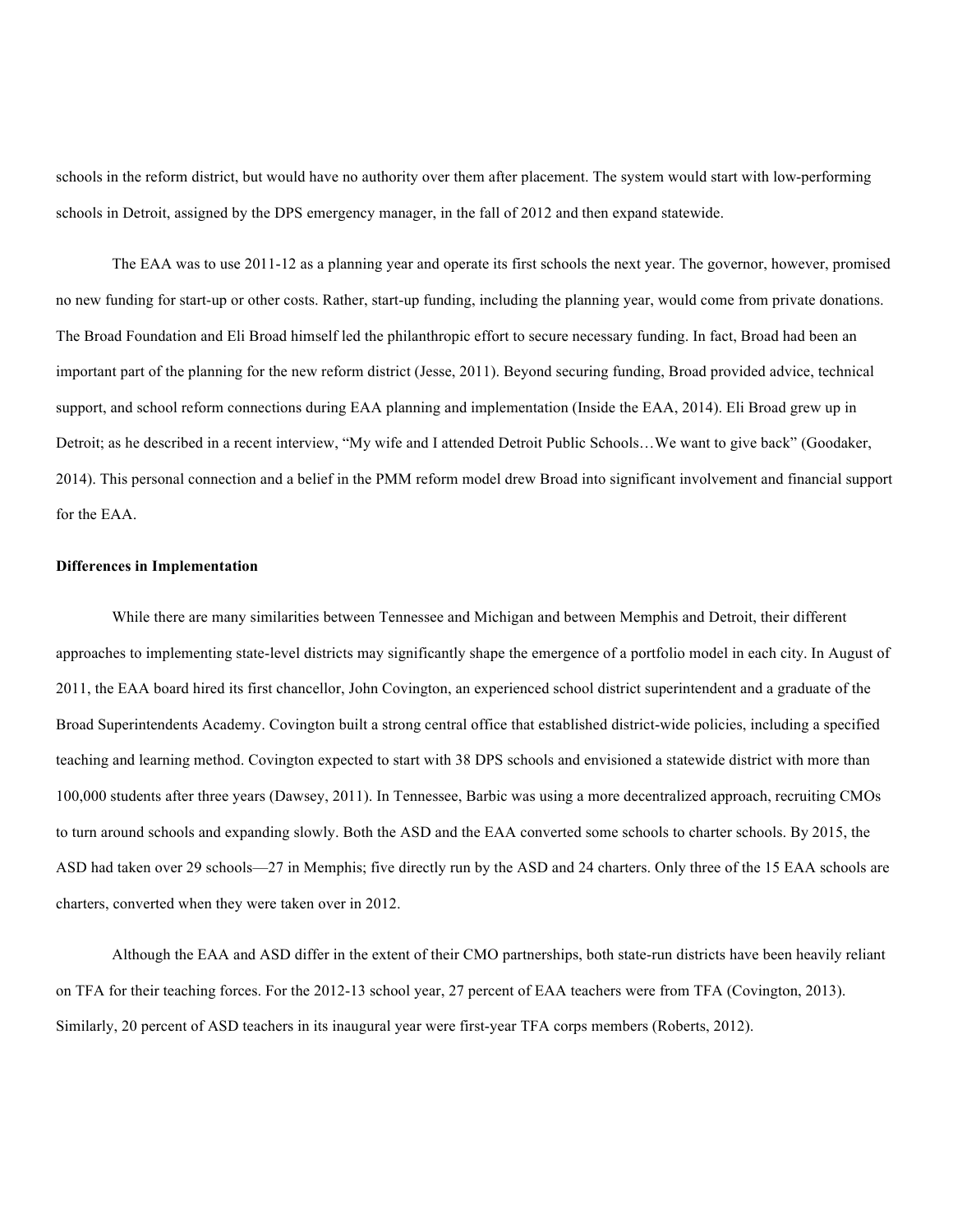schools in the reform district, but would have no authority over them after placement. The system would start with low-performing schools in Detroit, assigned by the DPS emergency manager, in the fall of 2012 and then expand statewide.

The EAA was to use 2011-12 as a planning year and operate its first schools the next year. The governor, however, promised no new funding for start-up or other costs. Rather, start-up funding, including the planning year, would come from private donations. The Broad Foundation and Eli Broad himself led the philanthropic effort to secure necessary funding. In fact, Broad had been an important part of the planning for the new reform district (Jesse, 2011). Beyond securing funding, Broad provided advice, technical support, and school reform connections during EAA planning and implementation (Inside the EAA, 2014). Eli Broad grew up in Detroit; as he described in a recent interview, "My wife and I attended Detroit Public Schools…We want to give back" (Goodaker, 2014). This personal connection and a belief in the PMM reform model drew Broad into significant involvement and financial support for the EAA.

## **Differences in Implementation**

While there are many similarities between Tennessee and Michigan and between Memphis and Detroit, their different approaches to implementing state-level districts may significantly shape the emergence of a portfolio model in each city. In August of 2011, the EAA board hired its first chancellor, John Covington, an experienced school district superintendent and a graduate of the Broad Superintendents Academy. Covington built a strong central office that established district-wide policies, including a specified teaching and learning method. Covington expected to start with 38 DPS schools and envisioned a statewide district with more than 100,000 students after three years (Dawsey, 2011). In Tennessee, Barbic was using a more decentralized approach, recruiting CMOs to turn around schools and expanding slowly. Both the ASD and the EAA converted some schools to charter schools. By 2015, the ASD had taken over 29 schools—27 in Memphis; five directly run by the ASD and 24 charters. Only three of the 15 EAA schools are charters, converted when they were taken over in 2012.

Although the EAA and ASD differ in the extent of their CMO partnerships, both state-run districts have been heavily reliant on TFA for their teaching forces. For the 2012-13 school year, 27 percent of EAA teachers were from TFA (Covington, 2013). Similarly, 20 percent of ASD teachers in its inaugural year were first-year TFA corps members (Roberts, 2012).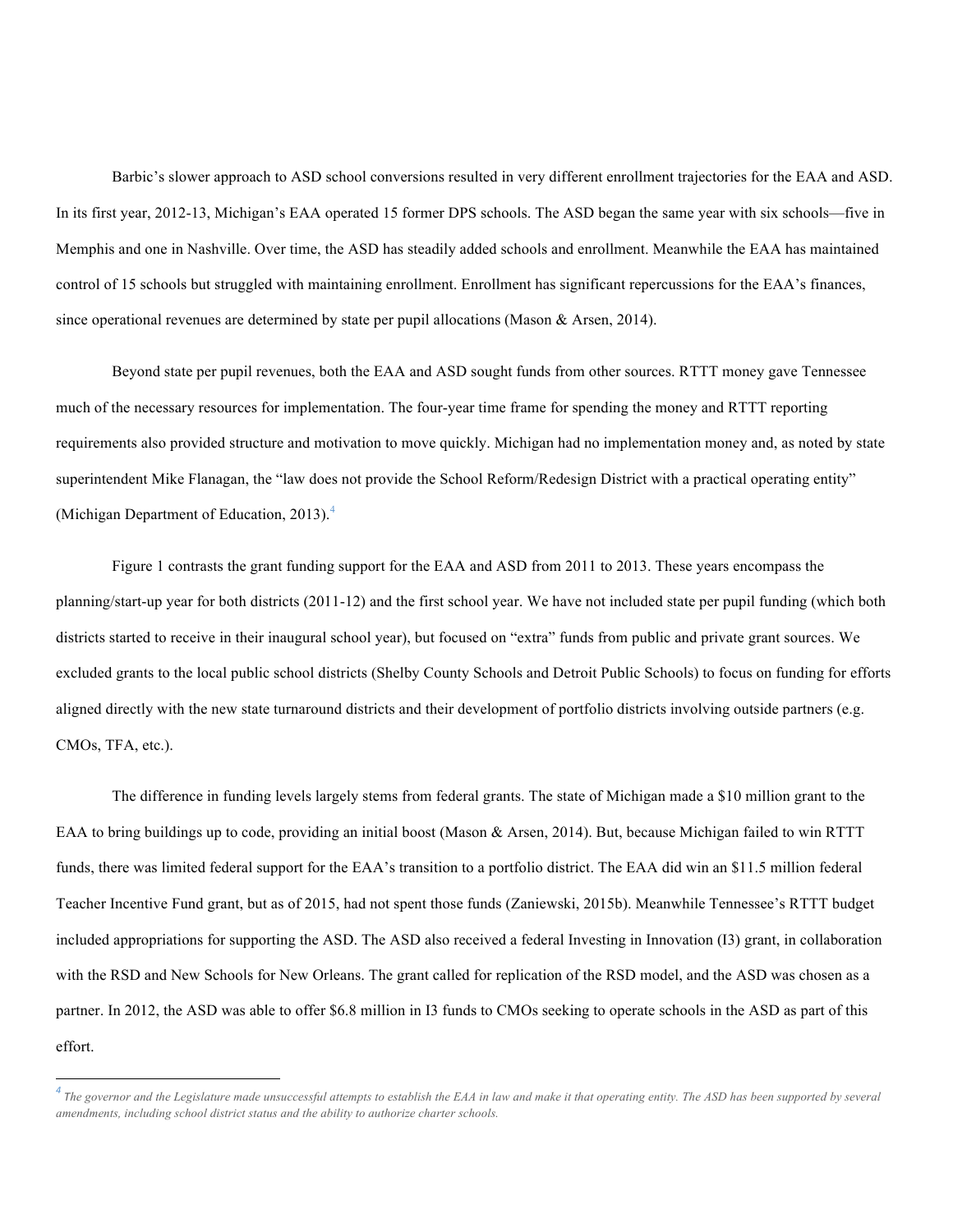Barbic's slower approach to ASD school conversions resulted in very different enrollment trajectories for the EAA and ASD. In its first year, 2012-13, Michigan's EAA operated 15 former DPS schools. The ASD began the same year with six schools—five in Memphis and one in Nashville. Over time, the ASD has steadily added schools and enrollment. Meanwhile the EAA has maintained control of 15 schools but struggled with maintaining enrollment. Enrollment has significant repercussions for the EAA's finances, since operational revenues are determined by state per pupil allocations (Mason & Arsen, 2014).

Beyond state per pupil revenues, both the EAA and ASD sought funds from other sources. RTTT money gave Tennessee much of the necessary resources for implementation. The four-year time frame for spending the money and RTTT reporting requirements also provided structure and motivation to move quickly. Michigan had no implementation money and, as noted by state superintendent Mike Flanagan, the "law does not provide the School Reform/Redesign District with a practical operating entity" (Michigan Department of Education, 2013).<sup>4</sup>

Figure 1 contrasts the grant funding support for the EAA and ASD from 2011 to 2013. These years encompass the planning/start-up year for both districts (2011-12) and the first school year. We have not included state per pupil funding (which both districts started to receive in their inaugural school year), but focused on "extra" funds from public and private grant sources. We excluded grants to the local public school districts (Shelby County Schools and Detroit Public Schools) to focus on funding for efforts aligned directly with the new state turnaround districts and their development of portfolio districts involving outside partners (e.g. CMOs, TFA, etc.).

The difference in funding levels largely stems from federal grants. The state of Michigan made a \$10 million grant to the EAA to bring buildings up to code, providing an initial boost (Mason & Arsen, 2014). But, because Michigan failed to win RTTT funds, there was limited federal support for the EAA's transition to a portfolio district. The EAA did win an \$11.5 million federal Teacher Incentive Fund grant, but as of 2015, had not spent those funds (Zaniewski, 2015b). Meanwhile Tennessee's RTTT budget included appropriations for supporting the ASD. The ASD also received a federal Investing in Innovation (I3) grant, in collaboration with the RSD and New Schools for New Orleans. The grant called for replication of the RSD model, and the ASD was chosen as a partner. In 2012, the ASD was able to offer \$6.8 million in I3 funds to CMOs seeking to operate schools in the ASD as part of this effort.

 *<sup>4</sup> <sup>T</sup>he governor and the Legislature made unsuccessful attempts to establish the EAA in law and make it that operating entity. The ASD has been supported by several amendments, including school district status and the ability to authorize charter schools.*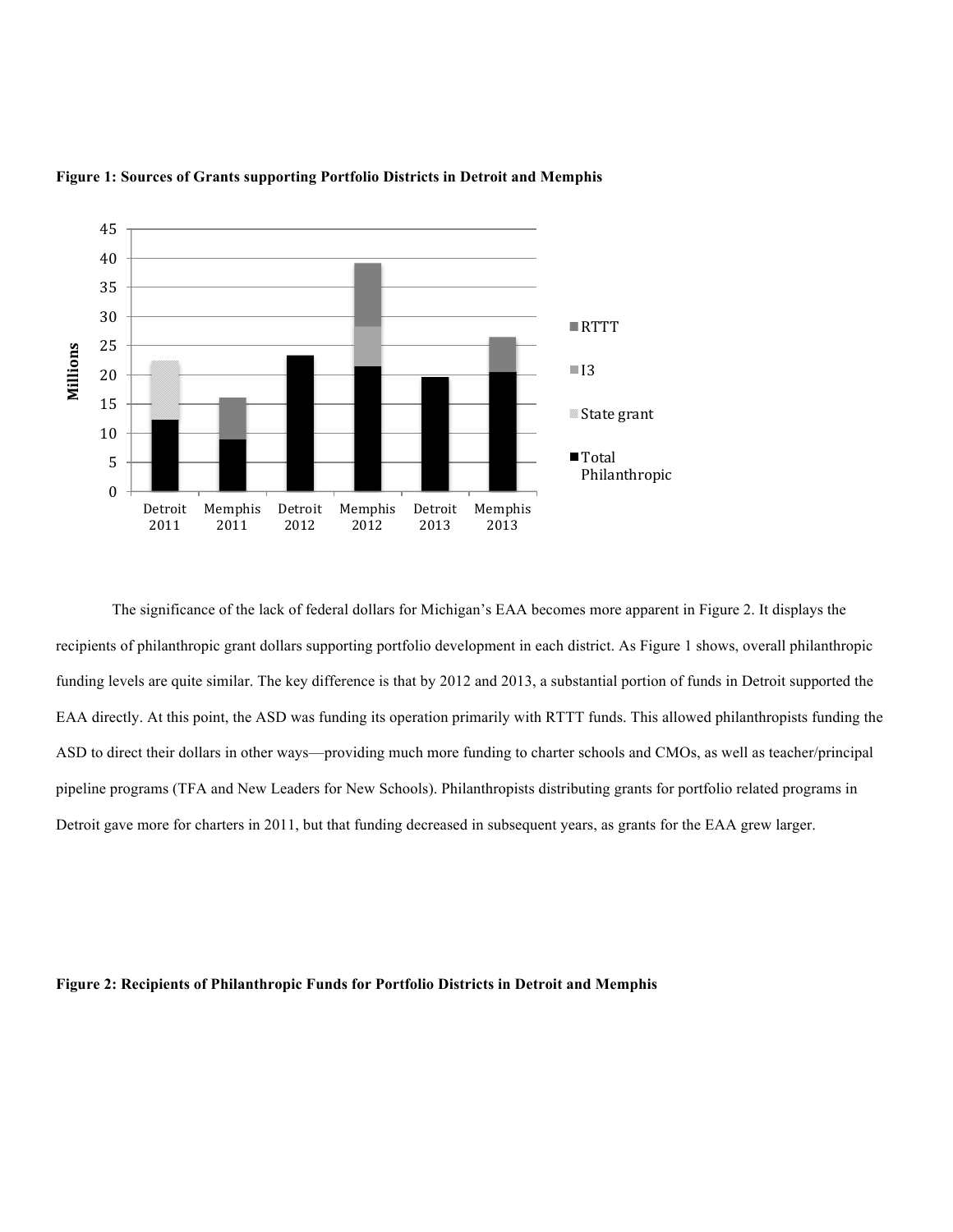

#### **Figure 1: Sources of Grants supporting Portfolio Districts in Detroit and Memphis**

The significance of the lack of federal dollars for Michigan's EAA becomes more apparent in Figure 2. It displays the recipients of philanthropic grant dollars supporting portfolio development in each district. As Figure 1 shows, overall philanthropic funding levels are quite similar. The key difference is that by 2012 and 2013, a substantial portion of funds in Detroit supported the EAA directly. At this point, the ASD was funding its operation primarily with RTTT funds. This allowed philanthropists funding the ASD to direct their dollars in other ways—providing much more funding to charter schools and CMOs, as well as teacher/principal pipeline programs (TFA and New Leaders for New Schools). Philanthropists distributing grants for portfolio related programs in Detroit gave more for charters in 2011, but that funding decreased in subsequent years, as grants for the EAA grew larger.

# **Figure 2: Recipients of Philanthropic Funds for Portfolio Districts in Detroit and Memphis**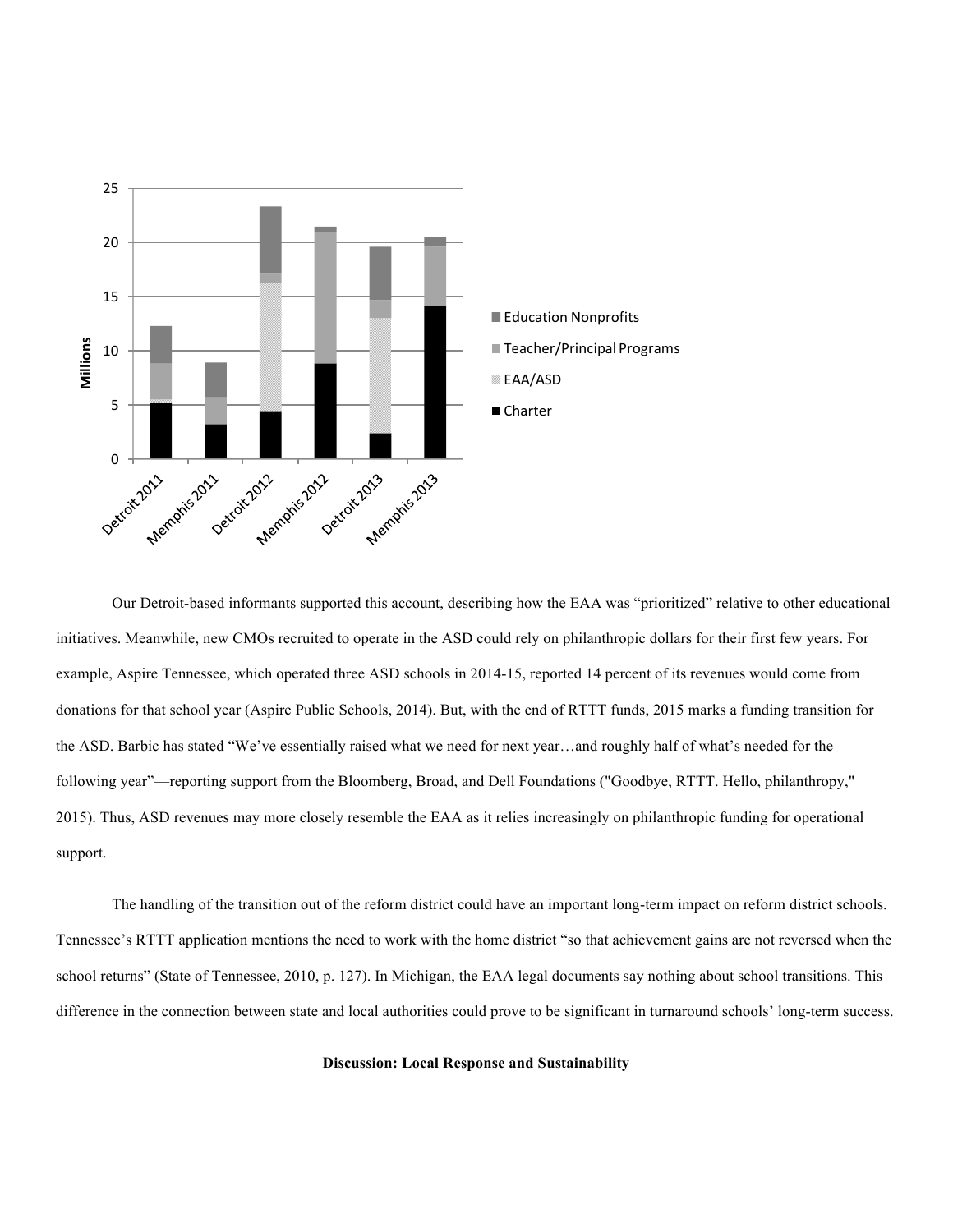

Our Detroit-based informants supported this account, describing how the EAA was "prioritized" relative to other educational initiatives. Meanwhile, new CMOs recruited to operate in the ASD could rely on philanthropic dollars for their first few years. For example, Aspire Tennessee, which operated three ASD schools in 2014-15, reported 14 percent of its revenues would come from donations for that school year (Aspire Public Schools, 2014). But, with the end of RTTT funds, 2015 marks a funding transition for the ASD. Barbic has stated "We've essentially raised what we need for next year…and roughly half of what's needed for the following year"—reporting support from the Bloomberg, Broad, and Dell Foundations ("Goodbye, RTTT. Hello, philanthropy," 2015). Thus, ASD revenues may more closely resemble the EAA as it relies increasingly on philanthropic funding for operational support.

The handling of the transition out of the reform district could have an important long-term impact on reform district schools. Tennessee's RTTT application mentions the need to work with the home district "so that achievement gains are not reversed when the school returns" (State of Tennessee, 2010, p. 127). In Michigan, the EAA legal documents say nothing about school transitions. This difference in the connection between state and local authorities could prove to be significant in turnaround schools' long-term success.

#### **Discussion: Local Response and Sustainability**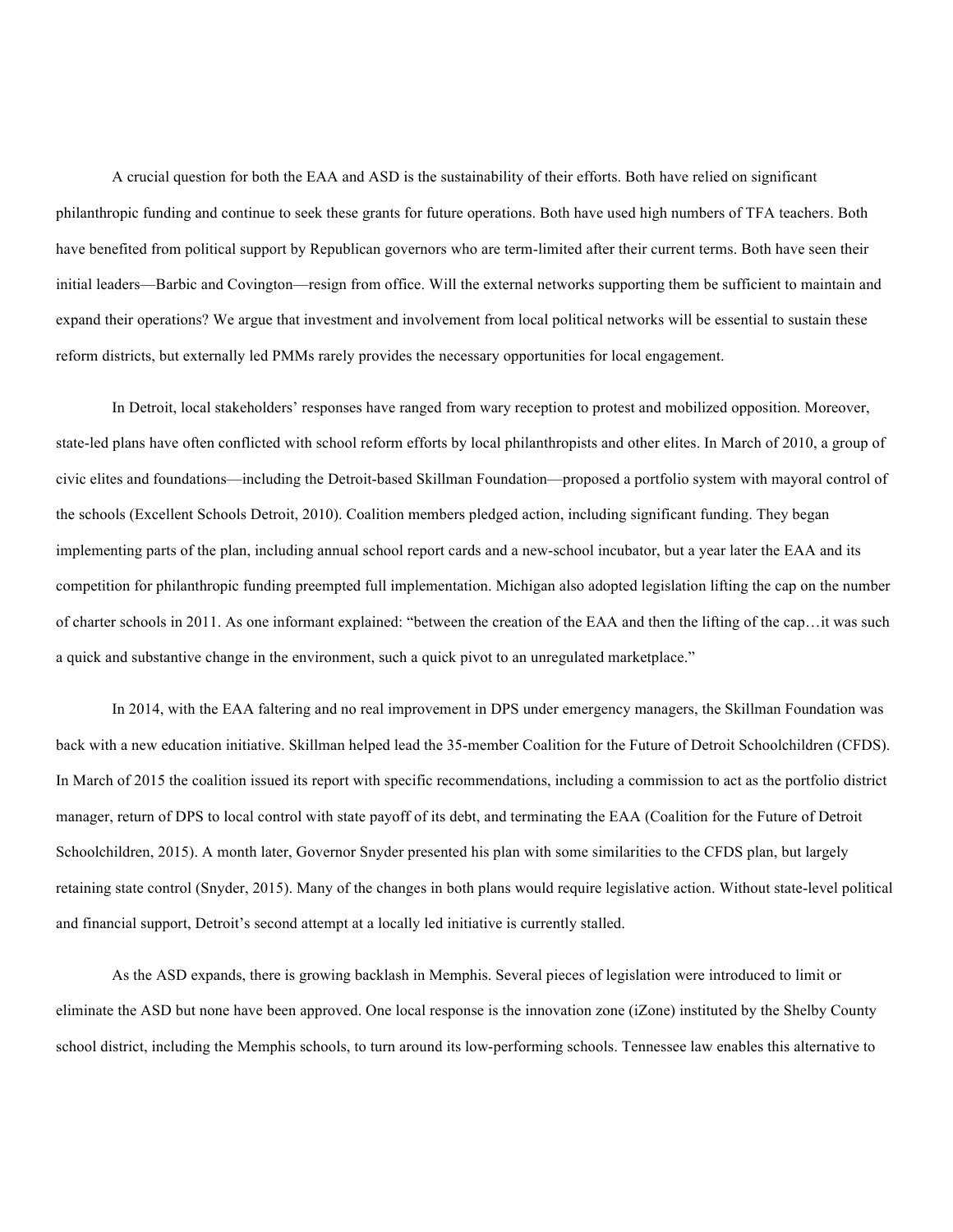A crucial question for both the EAA and ASD is the sustainability of their efforts. Both have relied on significant philanthropic funding and continue to seek these grants for future operations. Both have used high numbers of TFA teachers. Both have benefited from political support by Republican governors who are term-limited after their current terms. Both have seen their initial leaders—Barbic and Covington—resign from office. Will the external networks supporting them be sufficient to maintain and expand their operations? We argue that investment and involvement from local political networks will be essential to sustain these reform districts, but externally led PMMs rarely provides the necessary opportunities for local engagement.

In Detroit, local stakeholders' responses have ranged from wary reception to protest and mobilized opposition. Moreover, state-led plans have often conflicted with school reform efforts by local philanthropists and other elites. In March of 2010, a group of civic elites and foundations—including the Detroit-based Skillman Foundation—proposed a portfolio system with mayoral control of the schools (Excellent Schools Detroit, 2010). Coalition members pledged action, including significant funding. They began implementing parts of the plan, including annual school report cards and a new-school incubator, but a year later the EAA and its competition for philanthropic funding preempted full implementation. Michigan also adopted legislation lifting the cap on the number of charter schools in 2011. As one informant explained: "between the creation of the EAA and then the lifting of the cap…it was such a quick and substantive change in the environment, such a quick pivot to an unregulated marketplace."

In 2014, with the EAA faltering and no real improvement in DPS under emergency managers, the Skillman Foundation was back with a new education initiative. Skillman helped lead the 35-member Coalition for the Future of Detroit Schoolchildren (CFDS). In March of 2015 the coalition issued its report with specific recommendations, including a commission to act as the portfolio district manager, return of DPS to local control with state payoff of its debt, and terminating the EAA (Coalition for the Future of Detroit Schoolchildren, 2015). A month later, Governor Snyder presented his plan with some similarities to the CFDS plan, but largely retaining state control (Snyder, 2015). Many of the changes in both plans would require legislative action. Without state-level political and financial support, Detroit's second attempt at a locally led initiative is currently stalled.

As the ASD expands, there is growing backlash in Memphis. Several pieces of legislation were introduced to limit or eliminate the ASD but none have been approved. One local response is the innovation zone (iZone) instituted by the Shelby County school district, including the Memphis schools, to turn around its low-performing schools. Tennessee law enables this alternative to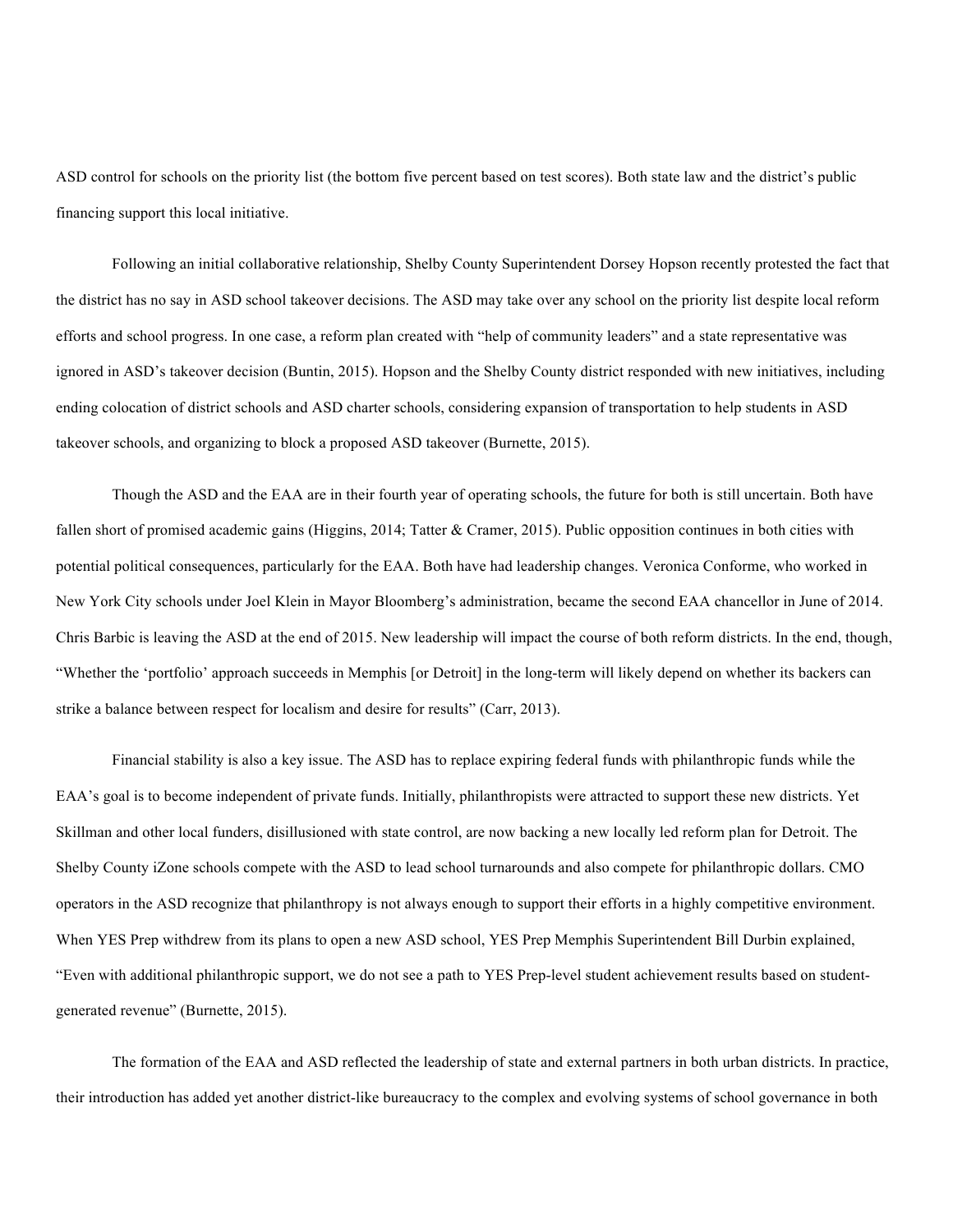ASD control for schools on the priority list (the bottom five percent based on test scores). Both state law and the district's public financing support this local initiative.

Following an initial collaborative relationship, Shelby County Superintendent Dorsey Hopson recently protested the fact that the district has no say in ASD school takeover decisions. The ASD may take over any school on the priority list despite local reform efforts and school progress. In one case, a reform plan created with "help of community leaders" and a state representative was ignored in ASD's takeover decision (Buntin, 2015). Hopson and the Shelby County district responded with new initiatives, including ending colocation of district schools and ASD charter schools, considering expansion of transportation to help students in ASD takeover schools, and organizing to block a proposed ASD takeover (Burnette, 2015).

Though the ASD and the EAA are in their fourth year of operating schools, the future for both is still uncertain. Both have fallen short of promised academic gains (Higgins, 2014; Tatter & Cramer, 2015). Public opposition continues in both cities with potential political consequences, particularly for the EAA. Both have had leadership changes. Veronica Conforme, who worked in New York City schools under Joel Klein in Mayor Bloomberg's administration, became the second EAA chancellor in June of 2014. Chris Barbic is leaving the ASD at the end of 2015. New leadership will impact the course of both reform districts. In the end, though, "Whether the 'portfolio' approach succeeds in Memphis [or Detroit] in the long-term will likely depend on whether its backers can strike a balance between respect for localism and desire for results" (Carr, 2013).

Financial stability is also a key issue. The ASD has to replace expiring federal funds with philanthropic funds while the EAA's goal is to become independent of private funds. Initially, philanthropists were attracted to support these new districts. Yet Skillman and other local funders, disillusioned with state control, are now backing a new locally led reform plan for Detroit. The Shelby County iZone schools compete with the ASD to lead school turnarounds and also compete for philanthropic dollars. CMO operators in the ASD recognize that philanthropy is not always enough to support their efforts in a highly competitive environment. When YES Prep withdrew from its plans to open a new ASD school, YES Prep Memphis Superintendent Bill Durbin explained, "Even with additional philanthropic support, we do not see a path to YES Prep-level student achievement results based on studentgenerated revenue" (Burnette, 2015).

The formation of the EAA and ASD reflected the leadership of state and external partners in both urban districts. In practice, their introduction has added yet another district-like bureaucracy to the complex and evolving systems of school governance in both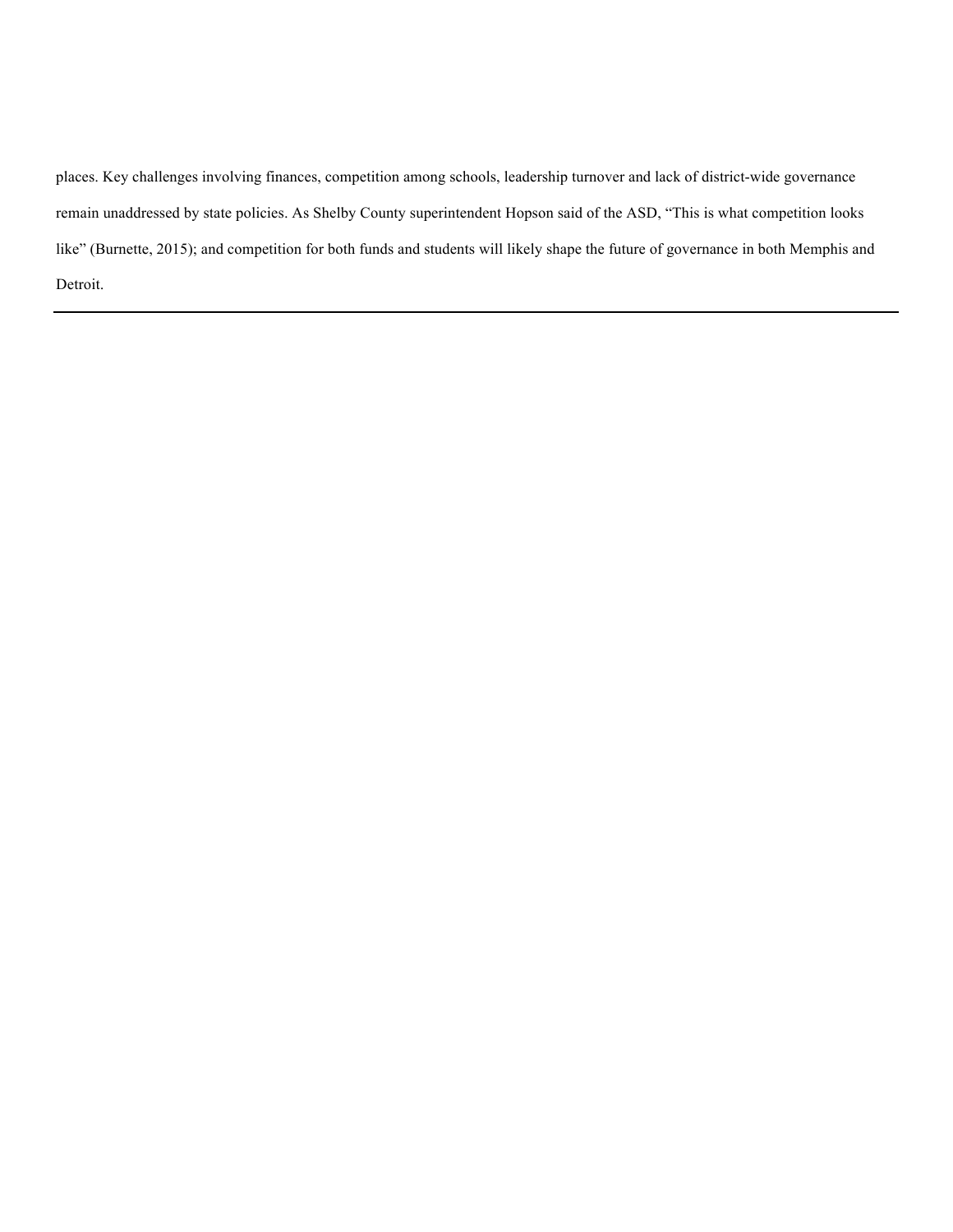places. Key challenges involving finances, competition among schools, leadership turnover and lack of district-wide governance remain unaddressed by state policies. As Shelby County superintendent Hopson said of the ASD, "This is what competition looks like" (Burnette, 2015); and competition for both funds and students will likely shape the future of governance in both Memphis and Detroit.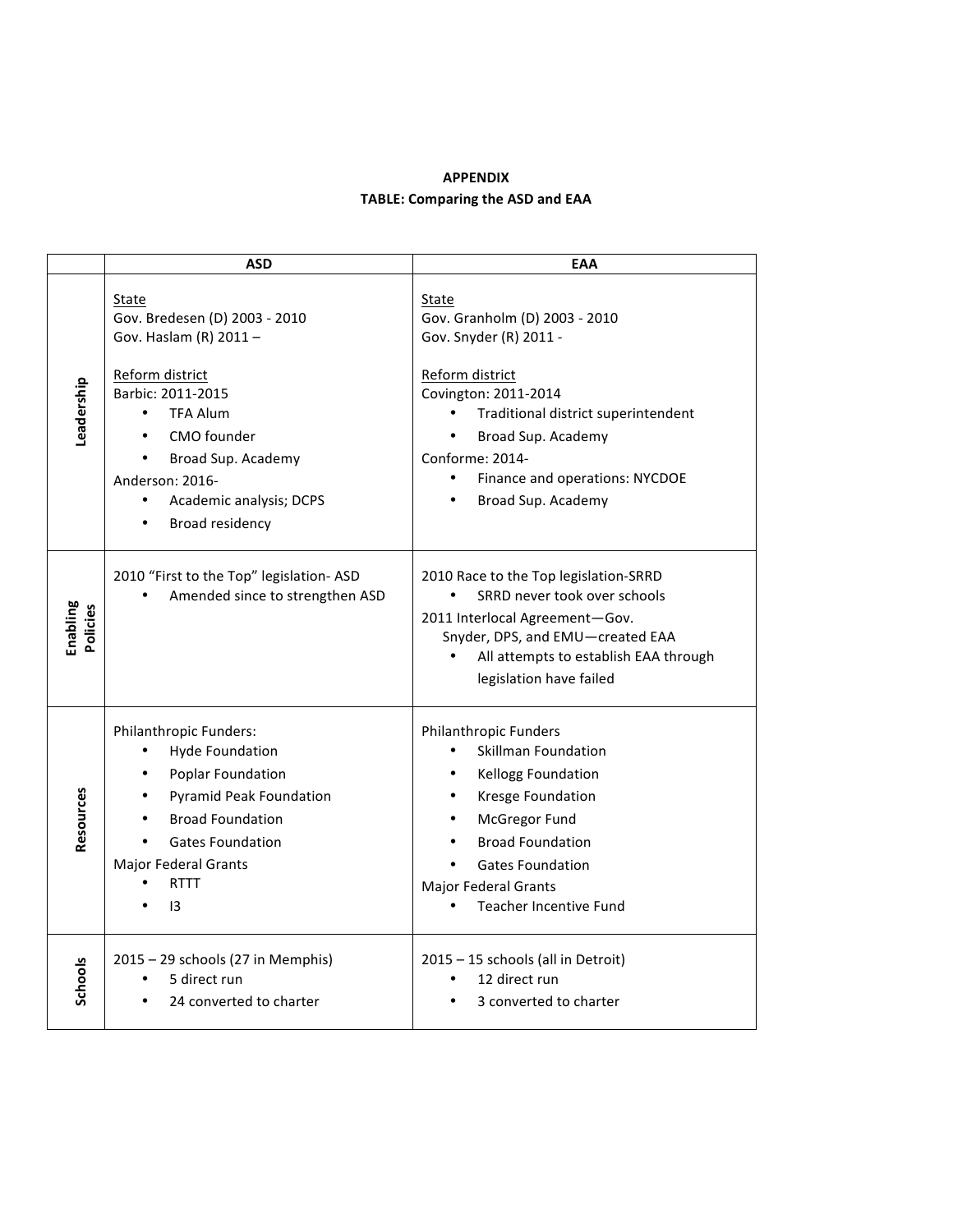# **APPENDIX TABLE: Comparing the ASD and EAA**

|                      | <b>ASD</b>                                                                                                                                                                                                             | EAA                                                                                                                                                                                                                                                |
|----------------------|------------------------------------------------------------------------------------------------------------------------------------------------------------------------------------------------------------------------|----------------------------------------------------------------------------------------------------------------------------------------------------------------------------------------------------------------------------------------------------|
|                      | State<br>Gov. Bredesen (D) 2003 - 2010<br>Gov. Haslam (R) 2011-                                                                                                                                                        | State<br>Gov. Granholm (D) 2003 - 2010<br>Gov. Snyder (R) 2011 -                                                                                                                                                                                   |
| Leadership           | Reform district<br>Barbic: 2011-2015<br><b>TFA Alum</b><br>CMO founder<br>Broad Sup. Academy<br>Anderson: 2016-<br>Academic analysis; DCPS<br>$\bullet$<br><b>Broad residency</b>                                      | Reform district<br>Covington: 2011-2014<br>Traditional district superintendent<br>Broad Sup. Academy<br>Conforme: 2014-<br>Finance and operations: NYCDOE<br>$\bullet$<br>Broad Sup. Academy                                                       |
| Enabling<br>Policies | 2010 "First to the Top" legislation- ASD<br>Amended since to strengthen ASD                                                                                                                                            | 2010 Race to the Top legislation-SRRD<br>SRRD never took over schools<br>2011 Interlocal Agreement-Gov.<br>Snyder, DPS, and EMU-created EAA<br>All attempts to establish EAA through<br>legislation have failed                                    |
| Resources            | Philanthropic Funders:<br><b>Hyde Foundation</b><br>Poplar Foundation<br>٠<br><b>Pyramid Peak Foundation</b><br><b>Broad Foundation</b><br><b>Gates Foundation</b><br><b>Major Federal Grants</b><br><b>RTTT</b><br>13 | <b>Philanthropic Funders</b><br>Skillman Foundation<br>Kellogg Foundation<br>Kresge Foundation<br>McGregor Fund<br>$\bullet$<br><b>Broad Foundation</b><br><b>Gates Foundation</b><br><b>Major Federal Grants</b><br><b>Teacher Incentive Fund</b> |
| Schools              | 2015 - 29 schools (27 in Memphis)<br>5 direct run<br>24 converted to charter                                                                                                                                           | 2015 - 15 schools (all in Detroit)<br>12 direct run<br>3 converted to charter                                                                                                                                                                      |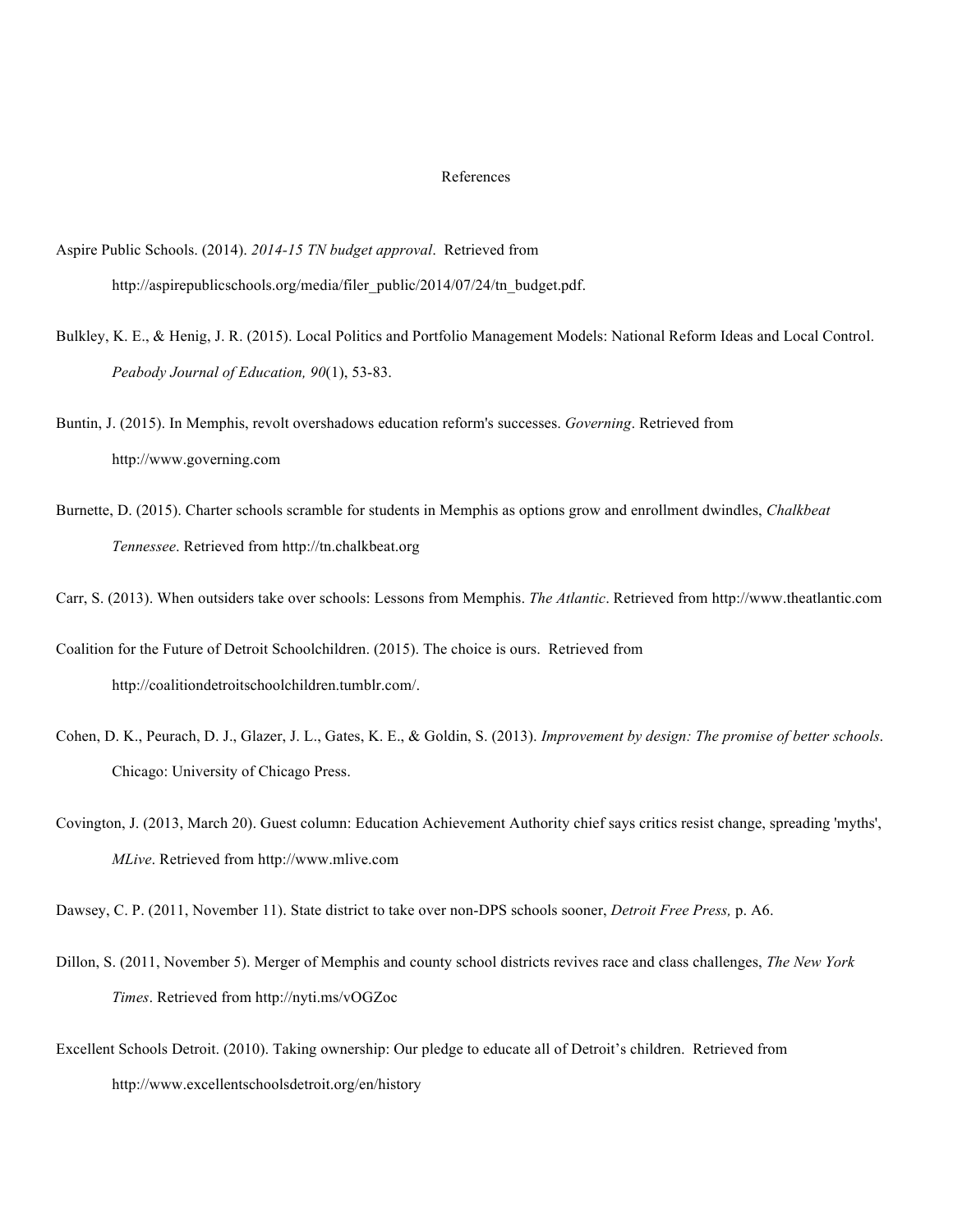#### References

- Aspire Public Schools. (2014). *2014-15 TN budget approval*. Retrieved from http://aspirepublicschools.org/media/filer\_public/2014/07/24/tn\_budget.pdf.
- Bulkley, K. E., & Henig, J. R. (2015). Local Politics and Portfolio Management Models: National Reform Ideas and Local Control. *Peabody Journal of Education, 90*(1), 53-83.
- Buntin, J. (2015). In Memphis, revolt overshadows education reform's successes. *Governing*. Retrieved from http://www.governing.com
- Burnette, D. (2015). Charter schools scramble for students in Memphis as options grow and enrollment dwindles, *Chalkbeat Tennessee*. Retrieved from http://tn.chalkbeat.org

Carr, S. (2013). When outsiders take over schools: Lessons from Memphis. *The Atlantic*. Retrieved from http://www.theatlantic.com

Coalition for the Future of Detroit Schoolchildren. (2015). The choice is ours. Retrieved from http://coalitiondetroitschoolchildren.tumblr.com/.

- Cohen, D. K., Peurach, D. J., Glazer, J. L., Gates, K. E., & Goldin, S. (2013). *Improvement by design: The promise of better schools*. Chicago: University of Chicago Press.
- Covington, J. (2013, March 20). Guest column: Education Achievement Authority chief says critics resist change, spreading 'myths', *MLive*. Retrieved from http://www.mlive.com

Dawsey, C. P. (2011, November 11). State district to take over non-DPS schools sooner, *Detroit Free Press,* p. A6.

- Dillon, S. (2011, November 5). Merger of Memphis and county school districts revives race and class challenges, *The New York Times*. Retrieved from http://nyti.ms/vOGZoc
- Excellent Schools Detroit. (2010). Taking ownership: Our pledge to educate all of Detroit's children. Retrieved from http://www.excellentschoolsdetroit.org/en/history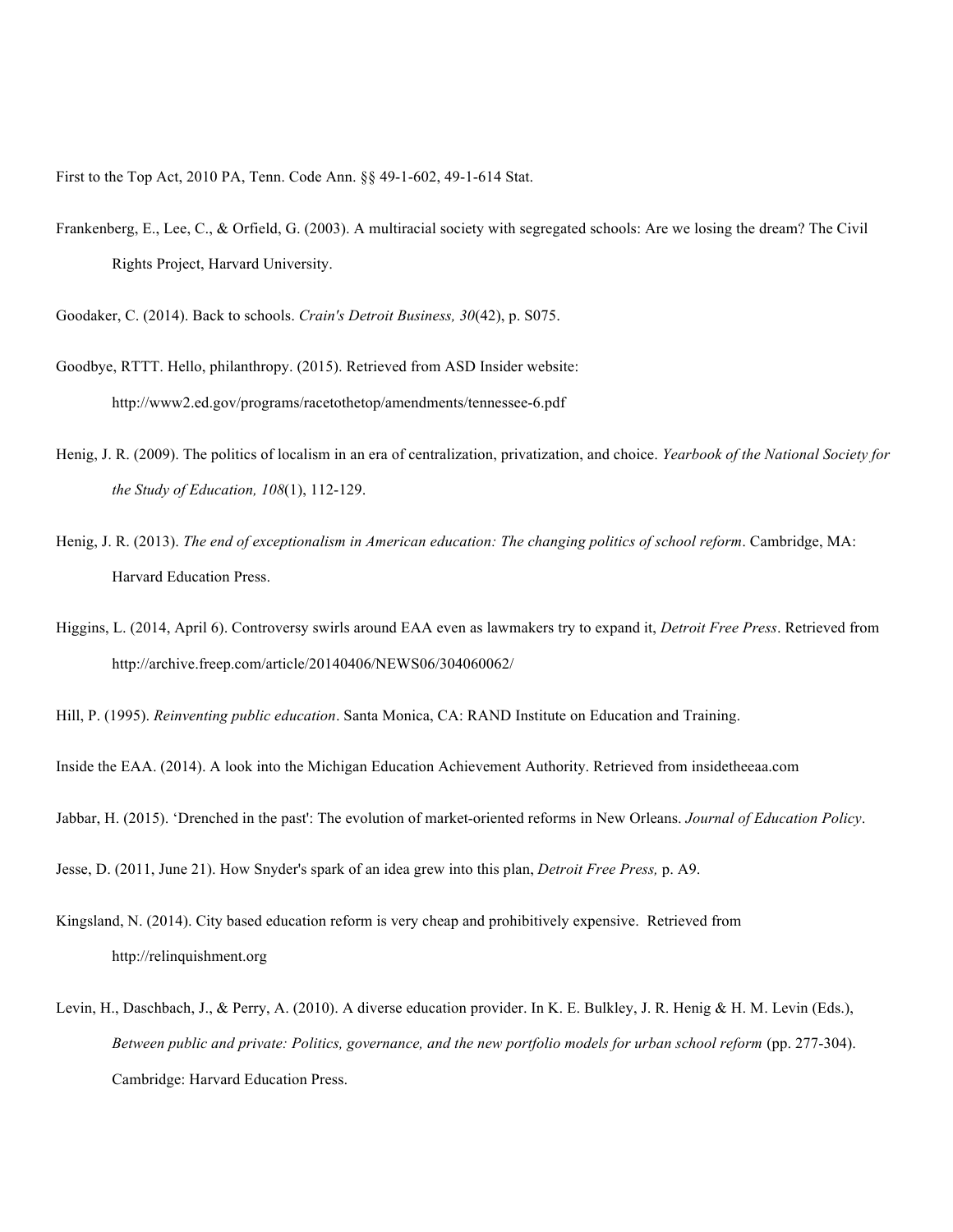First to the Top Act, 2010 PA, Tenn. Code Ann. §§ 49-1-602, 49-1-614 Stat.

Frankenberg, E., Lee, C., & Orfield, G. (2003). A multiracial society with segregated schools: Are we losing the dream? The Civil Rights Project, Harvard University.

Goodaker, C. (2014). Back to schools. *Crain's Detroit Business, 30*(42), p. S075.

- Goodbye, RTTT. Hello, philanthropy. (2015). Retrieved from ASD Insider website: http://www2.ed.gov/programs/racetothetop/amendments/tennessee-6.pdf
- Henig, J. R. (2009). The politics of localism in an era of centralization, privatization, and choice. *Yearbook of the National Society for the Study of Education, 108*(1), 112-129.
- Henig, J. R. (2013). *The end of exceptionalism in American education: The changing politics of school reform*. Cambridge, MA: Harvard Education Press.
- Higgins, L. (2014, April 6). Controversy swirls around EAA even as lawmakers try to expand it, *Detroit Free Press*. Retrieved from http://archive.freep.com/article/20140406/NEWS06/304060062/

Hill, P. (1995). *Reinventing public education*. Santa Monica, CA: RAND Institute on Education and Training.

Inside the EAA. (2014). A look into the Michigan Education Achievement Authority. Retrieved from insidetheeaa.com

Jabbar, H. (2015). 'Drenched in the past': The evolution of market-oriented reforms in New Orleans. *Journal of Education Policy*.

Jesse, D. (2011, June 21). How Snyder's spark of an idea grew into this plan, *Detroit Free Press,* p. A9.

- Kingsland, N. (2014). City based education reform is very cheap and prohibitively expensive. Retrieved from http://relinquishment.org
- Levin, H., Daschbach, J., & Perry, A. (2010). A diverse education provider. In K. E. Bulkley, J. R. Henig & H. M. Levin (Eds.), *Between public and private: Politics, governance, and the new portfolio models for urban school reform* (pp. 277-304). Cambridge: Harvard Education Press.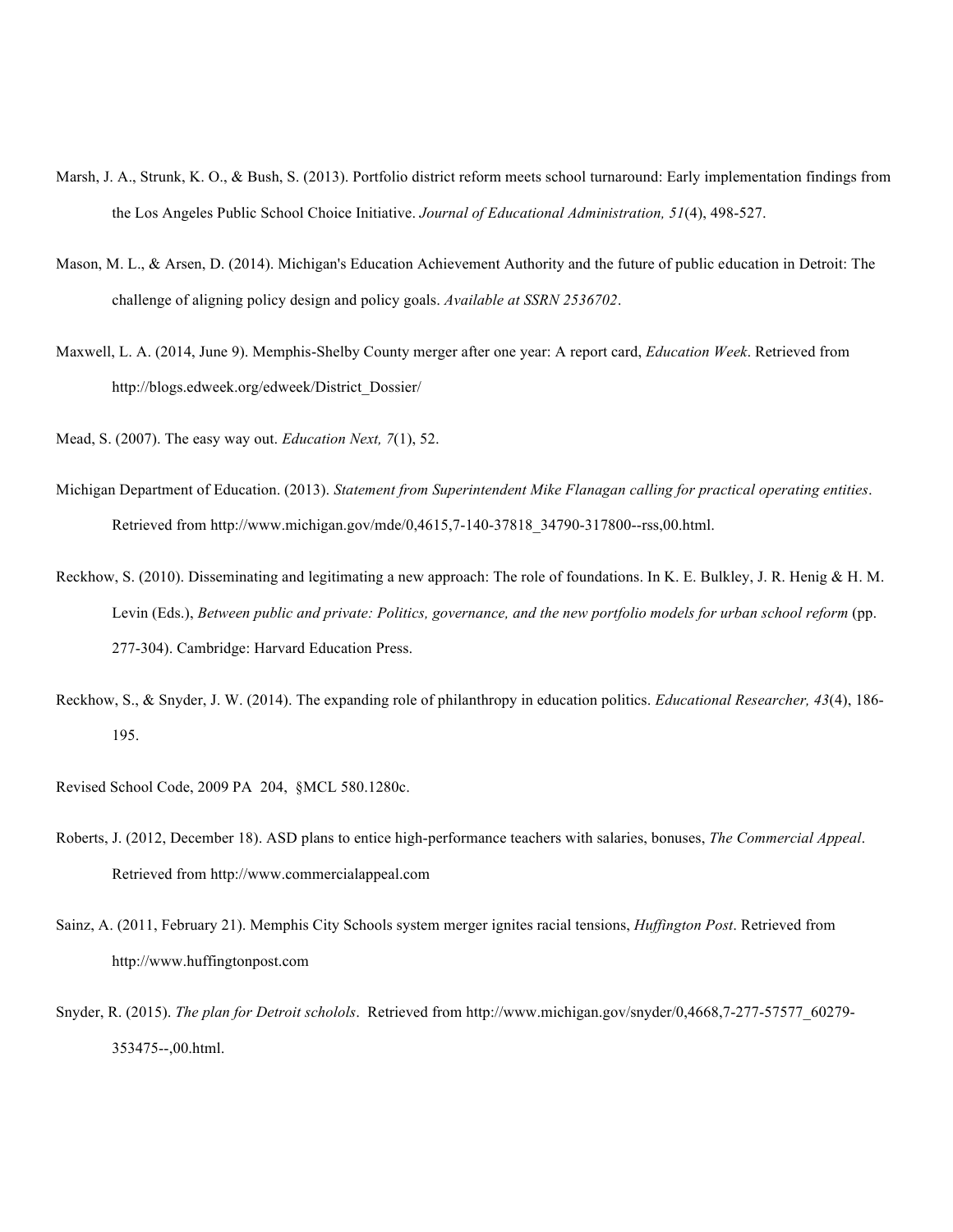- Marsh, J. A., Strunk, K. O., & Bush, S. (2013). Portfolio district reform meets school turnaround: Early implementation findings from the Los Angeles Public School Choice Initiative. *Journal of Educational Administration, 51*(4), 498-527.
- Mason, M. L., & Arsen, D. (2014). Michigan's Education Achievement Authority and the future of public education in Detroit: The challenge of aligning policy design and policy goals. *Available at SSRN 2536702*.
- Maxwell, L. A. (2014, June 9). Memphis-Shelby County merger after one year: A report card, *Education Week*. Retrieved from http://blogs.edweek.org/edweek/District\_Dossier/

Mead, S. (2007). The easy way out. *Education Next, 7*(1), 52.

- Michigan Department of Education. (2013). *Statement from Superintendent Mike Flanagan calling for practical operating entities*. Retrieved from http://www.michigan.gov/mde/0,4615,7-140-37818\_34790-317800--rss,00.html.
- Reckhow, S. (2010). Disseminating and legitimating a new approach: The role of foundations. In K. E. Bulkley, J. R. Henig & H. M. Levin (Eds.), *Between public and private: Politics, governance, and the new portfolio models for urban school reform* (pp. 277-304). Cambridge: Harvard Education Press.
- Reckhow, S., & Snyder, J. W. (2014). The expanding role of philanthropy in education politics. *Educational Researcher, 43*(4), 186- 195.
- Revised School Code, 2009 PA 204, §MCL 580.1280c.
- Roberts, J. (2012, December 18). ASD plans to entice high-performance teachers with salaries, bonuses, *The Commercial Appeal*. Retrieved from http://www.commercialappeal.com
- Sainz, A. (2011, February 21). Memphis City Schools system merger ignites racial tensions, *Huffington Post*. Retrieved from http://www.huffingtonpost.com
- Snyder, R. (2015). *The plan for Detroit scholols*. Retrieved from http://www.michigan.gov/snyder/0,4668,7-277-57577\_60279- 353475--,00.html.